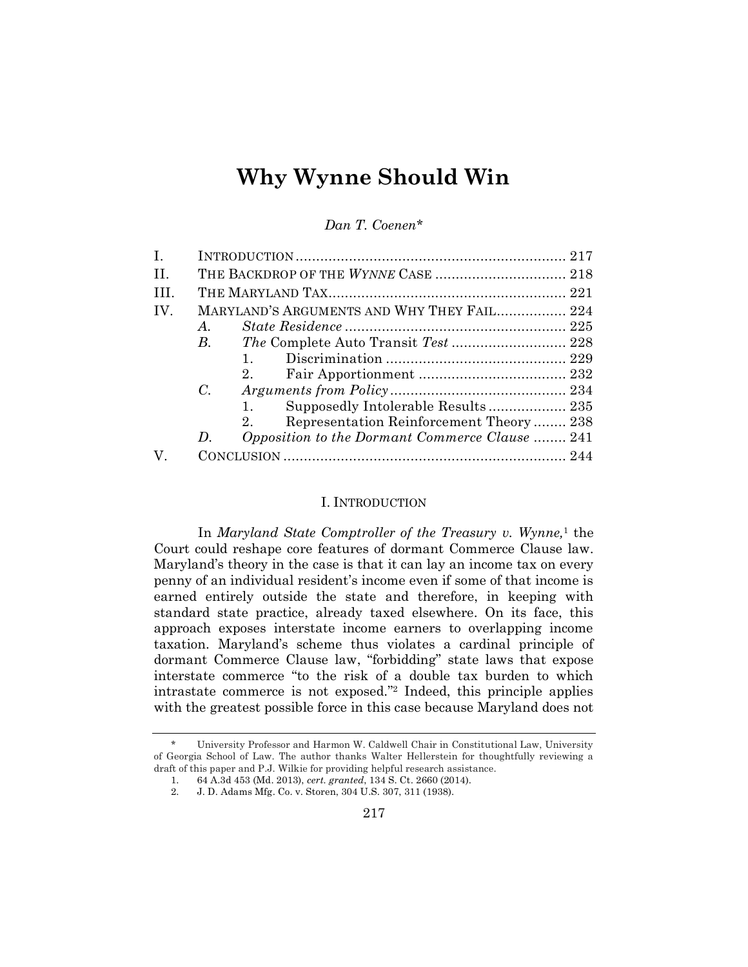# **Why Wynne Should Win**

*Dan T. Coenen\**

| $\mathbf{I}$ . |             |                                                        |
|----------------|-------------|--------------------------------------------------------|
| H.             |             |                                                        |
| III.           |             |                                                        |
| IV.            |             | MARYLAND'S ARGUMENTS AND WHY THEY FAIL 224             |
|                | $A_{\cdot}$ |                                                        |
|                | В.          |                                                        |
|                |             |                                                        |
|                |             |                                                        |
|                | $C_{\cdot}$ |                                                        |
|                |             | 1.                                                     |
|                |             | Representation Reinforcement Theory 238<br>$2^{\circ}$ |
|                | D.          | Opposition to the Dormant Commerce Clause  241         |
| V.             |             |                                                        |
|                |             |                                                        |

# I. INTRODUCTION

In *Maryland State Comptroller of the Treasury v. Wynne,*<sup>1</sup> the Court could reshape core features of dormant Commerce Clause law. Maryland's theory in the case is that it can lay an income tax on every penny of an individual resident's income even if some of that income is earned entirely outside the state and therefore, in keeping with standard state practice, already taxed elsewhere. On its face, this approach exposes interstate income earners to overlapping income taxation. Maryland's scheme thus violates a cardinal principle of dormant Commerce Clause law, "forbidding" state laws that expose interstate commerce "to the risk of a double tax burden to which intrastate commerce is not exposed." <sup>2</sup> Indeed, this principle applies with the greatest possible force in this case because Maryland does not

<sup>\*</sup> University Professor and Harmon W. Caldwell Chair in Constitutional Law, University of Georgia School of Law. The author thanks Walter Hellerstein for thoughtfully reviewing a draft of this paper and P.J. Wilkie for providing helpful research assistance.

<sup>1.</sup> 64 A.3d 453 (Md. 2013), *cert. granted*, 134 S. Ct. 2660 (2014).

<sup>2.</sup> J. D. Adams Mfg. Co. v. Storen, 304 U.S. 307, 311 (1938).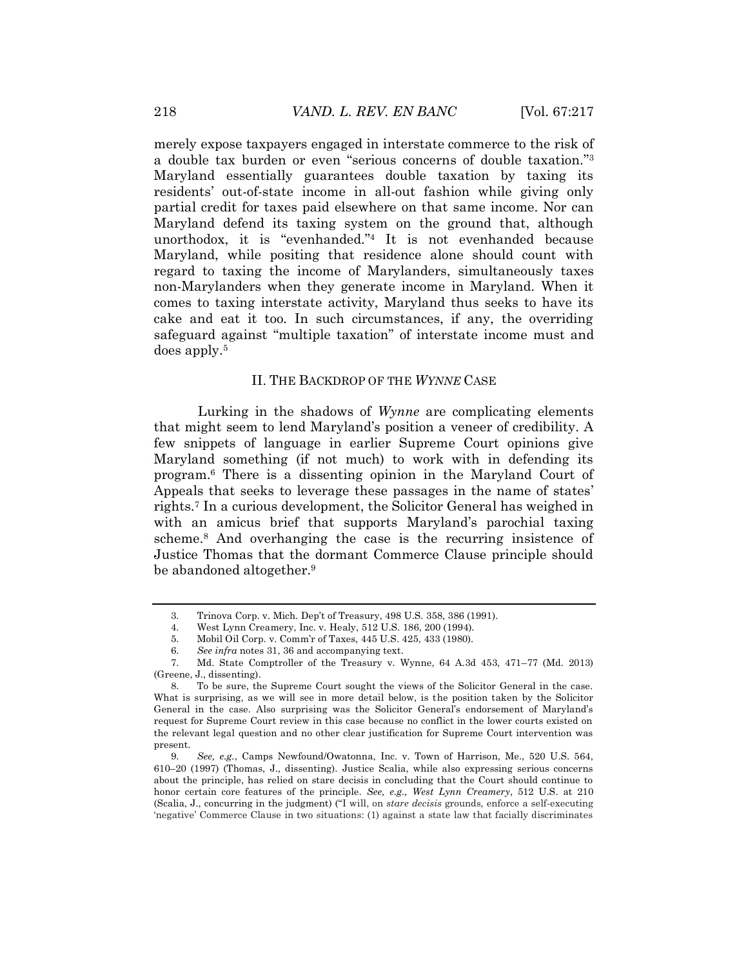merely expose taxpayers engaged in interstate commerce to the risk of a double tax burden or even "serious concerns of double taxation." 3 Maryland essentially guarantees double taxation by taxing its residents' out-of-state income in all-out fashion while giving only partial credit for taxes paid elsewhere on that same income. Nor can Maryland defend its taxing system on the ground that, although unorthodox, it is "evenhanded." <sup>4</sup> It is not evenhanded because Maryland, while positing that residence alone should count with regard to taxing the income of Marylanders, simultaneously taxes non-Marylanders when they generate income in Maryland. When it comes to taxing interstate activity, Maryland thus seeks to have its cake and eat it too. In such circumstances, if any, the overriding safeguard against "multiple taxation" of interstate income must and does apply.<sup>5</sup>

#### II. THE BACKDROP OF THE *WYNNE* CASE

Lurking in the shadows of *Wynne* are complicating elements that might seem to lend Maryland's position a veneer of credibility. A few snippets of language in earlier Supreme Court opinions give Maryland something (if not much) to work with in defending its program.<sup>6</sup> There is a dissenting opinion in the Maryland Court of Appeals that seeks to leverage these passages in the name of states' rights.<sup>7</sup> In a curious development, the Solicitor General has weighed in with an amicus brief that supports Maryland's parochial taxing scheme.<sup>8</sup> And overhanging the case is the recurring insistence of Justice Thomas that the dormant Commerce Clause principle should be abandoned altogether.<sup>9</sup>

5. Mobil Oil Corp. v. Comm'r of Taxes, 445 U.S. 425, 433 (1980).

<sup>3.</sup> Trinova Corp. v. Mich. Dep't of Treasury, 498 U.S. 358, 386 (1991).

<sup>4.</sup> West Lynn Creamery, Inc. v. Healy, 512 U.S. 186, 200 (1994).

<sup>6.</sup> *See infra* notes 31, 36 and accompanying text.

<sup>7.</sup> Md. State Comptroller of the Treasury v. Wynne, 64 A.3d 453, 471–77 (Md. 2013) (Greene, J., dissenting).

<sup>8.</sup> To be sure, the Supreme Court sought the views of the Solicitor General in the case. What is surprising, as we will see in more detail below, is the position taken by the Solicitor General in the case. Also surprising was the Solicitor General's endorsement of Maryland's request for Supreme Court review in this case because no conflict in the lower courts existed on the relevant legal question and no other clear justification for Supreme Court intervention was present.

<sup>9.</sup> *See, e.g.*, Camps Newfound/Owatonna, Inc. v. Town of Harrison, Me., 520 U.S. 564, 610–20 (1997) (Thomas, J., dissenting). Justice Scalia, while also expressing serious concerns about the principle, has relied on stare decisis in concluding that the Court should continue to honor certain core features of the principle. *See, e.g., West Lynn Creamery*, 512 U.S. at 210 (Scalia, J., concurring in the judgment) ("I will, on *stare decisis* grounds, enforce a self-executing 'negative' Commerce Clause in two situations: (1) against a state law that facially discriminates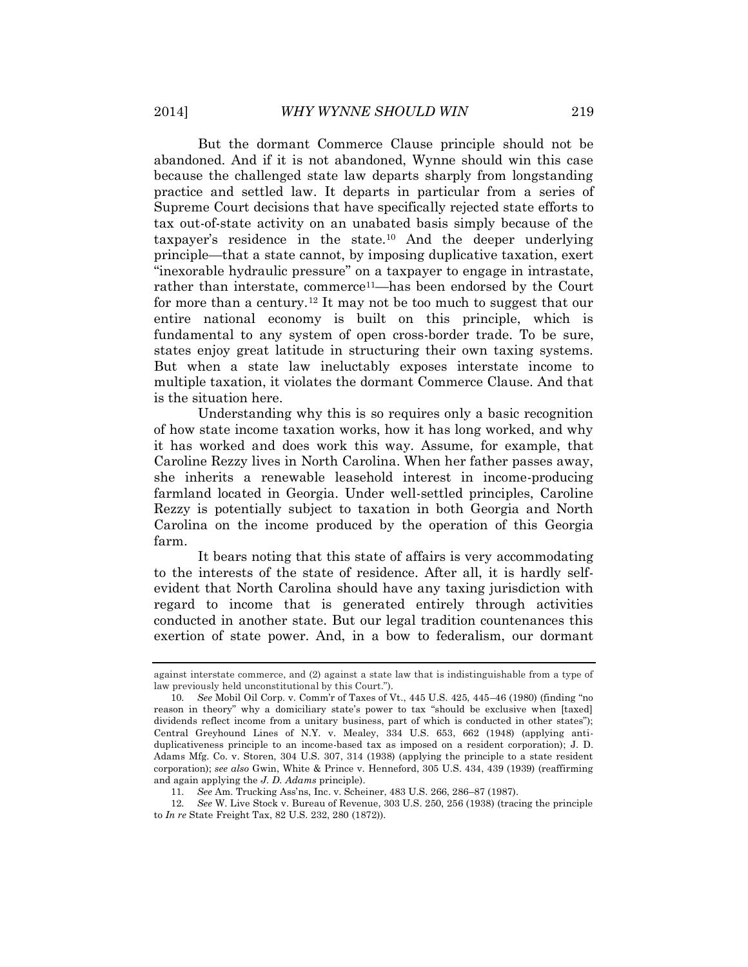But the dormant Commerce Clause principle should not be abandoned. And if it is not abandoned, Wynne should win this case because the challenged state law departs sharply from longstanding practice and settled law. It departs in particular from a series of Supreme Court decisions that have specifically rejected state efforts to tax out-of-state activity on an unabated basis simply because of the taxpayer's residence in the state.<sup>10</sup> And the deeper underlying principle—that a state cannot, by imposing duplicative taxation, exert "inexorable hydraulic pressure" on a taxpayer to engage in intrastate, rather than interstate, commerce<sup>11</sup>—has been endorsed by the Court for more than a century.<sup>12</sup> It may not be too much to suggest that our entire national economy is built on this principle, which is fundamental to any system of open cross-border trade. To be sure, states enjoy great latitude in structuring their own taxing systems. But when a state law ineluctably exposes interstate income to multiple taxation, it violates the dormant Commerce Clause. And that is the situation here.

Understanding why this is so requires only a basic recognition of how state income taxation works, how it has long worked, and why it has worked and does work this way. Assume, for example, that Caroline Rezzy lives in North Carolina. When her father passes away, she inherits a renewable leasehold interest in income-producing farmland located in Georgia. Under well-settled principles, Caroline Rezzy is potentially subject to taxation in both Georgia and North Carolina on the income produced by the operation of this Georgia farm.

It bears noting that this state of affairs is very accommodating to the interests of the state of residence. After all, it is hardly selfevident that North Carolina should have any taxing jurisdiction with regard to income that is generated entirely through activities conducted in another state. But our legal tradition countenances this exertion of state power. And, in a bow to federalism, our dormant

against interstate commerce, and (2) against a state law that is indistinguishable from a type of law previously held unconstitutional by this Court.").

<sup>10.</sup> *See* Mobil Oil Corp. v. Comm'r of Taxes of Vt., 445 U.S. 425, 445–46 (1980) (finding "no reason in theory" why a domiciliary state's power to tax "should be exclusive when [taxed] dividends reflect income from a unitary business, part of which is conducted in other states"); Central Greyhound Lines of N.Y. v. Mealey, 334 U.S. 653, 662 (1948) (applying antiduplicativeness principle to an income-based tax as imposed on a resident corporation); J. D. Adams Mfg. Co. v. Storen, 304 U.S. 307, 314 (1938) (applying the principle to a state resident corporation); *see also* Gwin, White & Prince v. Henneford, 305 U.S. 434, 439 (1939) (reaffirming and again applying the *J. D. Adams* principle).

<sup>11.</sup> *See* Am. Trucking Ass'ns, Inc. v. Scheiner, 483 U.S. 266, 286–87 (1987).

<sup>12.</sup> *See* W. Live Stock v. Bureau of Revenue, 303 U.S. 250, 256 (1938) (tracing the principle to *In re* State Freight Tax, 82 U.S. 232, 280 (1872)).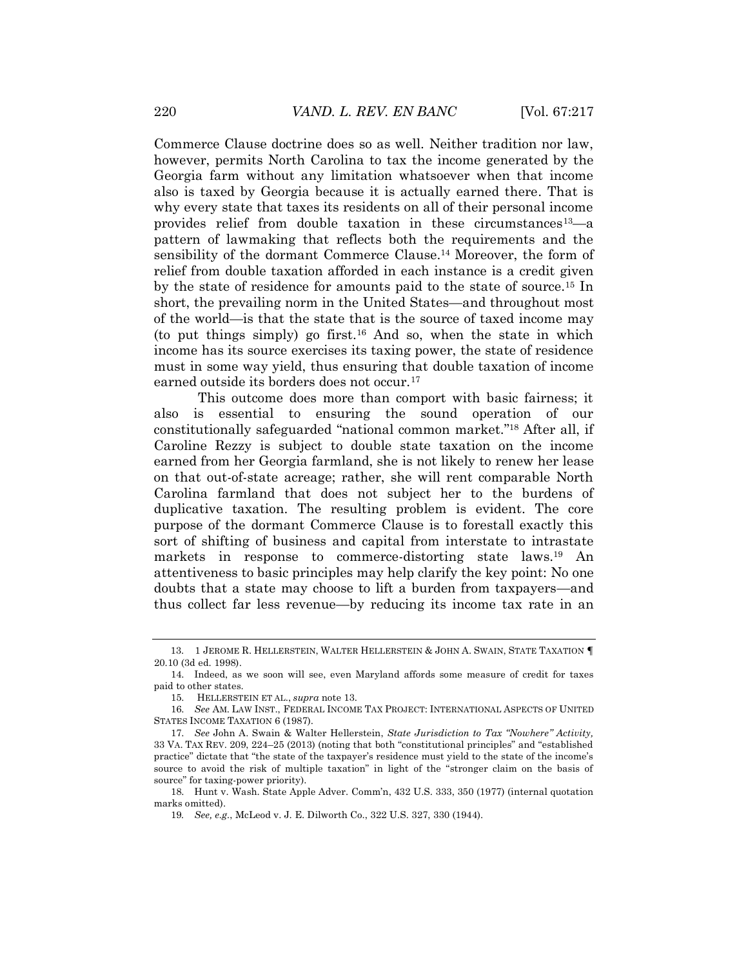Commerce Clause doctrine does so as well. Neither tradition nor law, however, permits North Carolina to tax the income generated by the Georgia farm without any limitation whatsoever when that income also is taxed by Georgia because it is actually earned there. That is why every state that taxes its residents on all of their personal income provides relief from double taxation in these circumstances<sup>13</sup>—a pattern of lawmaking that reflects both the requirements and the sensibility of the dormant Commerce Clause.<sup>14</sup> Moreover, the form of relief from double taxation afforded in each instance is a credit given by the state of residence for amounts paid to the state of source.<sup>15</sup> In short, the prevailing norm in the United States—and throughout most of the world—is that the state that is the source of taxed income may (to put things simply) go first.<sup>16</sup> And so, when the state in which income has its source exercises its taxing power, the state of residence must in some way yield, thus ensuring that double taxation of income earned outside its borders does not occur.<sup>17</sup>

This outcome does more than comport with basic fairness; it also is essential to ensuring the sound operation of our constitutionally safeguarded "national common market." <sup>18</sup> After all, if Caroline Rezzy is subject to double state taxation on the income earned from her Georgia farmland, she is not likely to renew her lease on that out-of-state acreage; rather, she will rent comparable North Carolina farmland that does not subject her to the burdens of duplicative taxation. The resulting problem is evident. The core purpose of the dormant Commerce Clause is to forestall exactly this sort of shifting of business and capital from interstate to intrastate markets in response to commerce-distorting state laws.<sup>19</sup> An attentiveness to basic principles may help clarify the key point: No one doubts that a state may choose to lift a burden from taxpayers—and thus collect far less revenue—by reducing its income tax rate in an

 <sup>13. 1</sup> JEROME R. HELLERSTEIN, WALTER HELLERSTEIN & JOHN A. SWAIN, STATE TAXATION **¶** 20.10 (3d ed. 1998).

<sup>14.</sup> Indeed, as we soon will see, even Maryland affords some measure of credit for taxes paid to other states.

<sup>15.</sup> HELLERSTEIN ET AL., *supra* note 13.

<sup>16.</sup> *See* AM. LAW INST., FEDERAL INCOME TAX PROJECT: INTERNATIONAL ASPECTS OF UNITED STATES INCOME TAXATION 6 (1987).

<sup>17.</sup> *See* John A. Swain & Walter Hellerstein, *State Jurisdiction to Tax "Nowhere" Activity,* 33 VA. TAX REV. 209, 224–25 (2013) (noting that both "constitutional principles" and "established practice" dictate that "the state of the taxpayer's residence must yield to the state of the income's source to avoid the risk of multiple taxation" in light of the "stronger claim on the basis of source" for taxing-power priority).

<sup>18.</sup> Hunt v. Wash. State Apple Adver. Comm'n, 432 U.S. 333, 350 (1977) (internal quotation marks omitted).

<sup>19</sup>*. See, e.g.*, McLeod v. J. E. Dilworth Co., 322 U.S. 327, 330 (1944).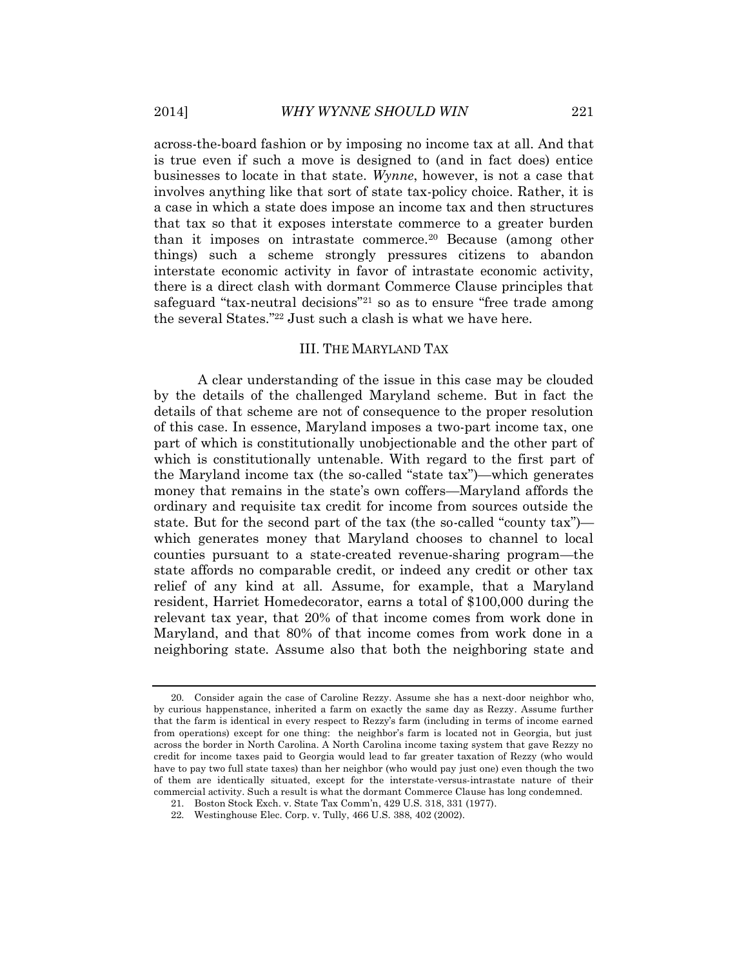across-the-board fashion or by imposing no income tax at all. And that is true even if such a move is designed to (and in fact does) entice businesses to locate in that state. *Wynne*, however, is not a case that involves anything like that sort of state tax-policy choice. Rather, it is a case in which a state does impose an income tax and then structures that tax so that it exposes interstate commerce to a greater burden than it imposes on intrastate commerce.<sup>20</sup> Because (among other things) such a scheme strongly pressures citizens to abandon interstate economic activity in favor of intrastate economic activity, there is a direct clash with dormant Commerce Clause principles that safeguard "tax-neutral decisions" <sup>21</sup> so as to ensure "free trade among the several States." <sup>22</sup> Just such a clash is what we have here.

# III. THE MARYLAND TAX

A clear understanding of the issue in this case may be clouded by the details of the challenged Maryland scheme. But in fact the details of that scheme are not of consequence to the proper resolution of this case. In essence, Maryland imposes a two-part income tax, one part of which is constitutionally unobjectionable and the other part of which is constitutionally untenable. With regard to the first part of the Maryland income tax (the so-called "state tax")—which generates money that remains in the state's own coffers—Maryland affords the ordinary and requisite tax credit for income from sources outside the state. But for the second part of the tax (the so-called "county tax") which generates money that Maryland chooses to channel to local counties pursuant to a state-created revenue-sharing program—the state affords no comparable credit, or indeed any credit or other tax relief of any kind at all. Assume, for example, that a Maryland resident, Harriet Homedecorator, earns a total of \$100,000 during the relevant tax year, that 20% of that income comes from work done in Maryland, and that 80% of that income comes from work done in a neighboring state. Assume also that both the neighboring state and

<sup>20.</sup> Consider again the case of Caroline Rezzy. Assume she has a next-door neighbor who, by curious happenstance, inherited a farm on exactly the same day as Rezzy. Assume further that the farm is identical in every respect to Rezzy's farm (including in terms of income earned from operations) except for one thing: the neighbor's farm is located not in Georgia, but just across the border in North Carolina. A North Carolina income taxing system that gave Rezzy no credit for income taxes paid to Georgia would lead to far greater taxation of Rezzy (who would have to pay two full state taxes) than her neighbor (who would pay just one) even though the two of them are identically situated, except for the interstate-versus-intrastate nature of their commercial activity. Such a result is what the dormant Commerce Clause has long condemned.

<sup>21.</sup> Boston Stock Exch. v. State Tax Comm'n, 429 U.S. 318, 331 (1977).

<sup>22.</sup> Westinghouse Elec. Corp. v. Tully, 466 U.S. 388, 402 (2002).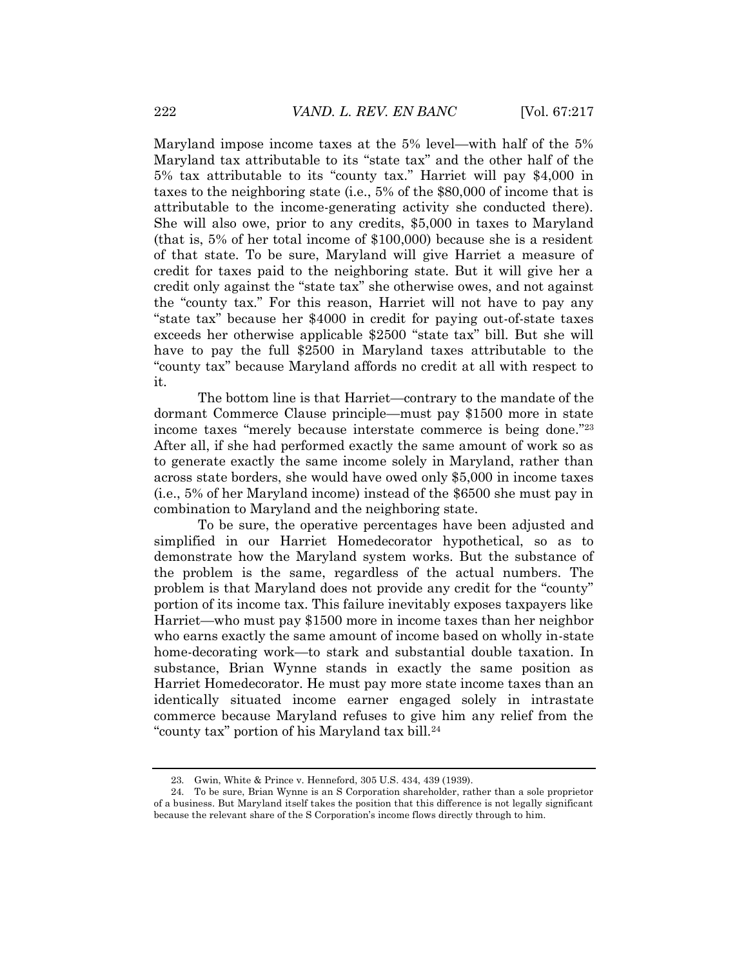Maryland impose income taxes at the 5% level—with half of the 5% Maryland tax attributable to its "state tax" and the other half of the 5% tax attributable to its "county tax." Harriet will pay \$4,000 in taxes to the neighboring state (i.e., 5% of the \$80,000 of income that is attributable to the income-generating activity she conducted there). She will also owe, prior to any credits, \$5,000 in taxes to Maryland (that is, 5% of her total income of \$100,000) because she is a resident of that state. To be sure, Maryland will give Harriet a measure of credit for taxes paid to the neighboring state. But it will give her a credit only against the "state tax" she otherwise owes, and not against the "county tax." For this reason, Harriet will not have to pay any "state tax" because her \$4000 in credit for paying out-of-state taxes exceeds her otherwise applicable \$2500 "state tax" bill. But she will have to pay the full \$2500 in Maryland taxes attributable to the "county tax" because Maryland affords no credit at all with respect to it.

The bottom line is that Harriet—contrary to the mandate of the dormant Commerce Clause principle—must pay \$1500 more in state income taxes "merely because interstate commerce is being done." 23 After all, if she had performed exactly the same amount of work so as to generate exactly the same income solely in Maryland, rather than across state borders, she would have owed only \$5,000 in income taxes (i.e., 5% of her Maryland income) instead of the \$6500 she must pay in combination to Maryland and the neighboring state.

To be sure, the operative percentages have been adjusted and simplified in our Harriet Homedecorator hypothetical, so as to demonstrate how the Maryland system works. But the substance of the problem is the same, regardless of the actual numbers. The problem is that Maryland does not provide any credit for the "county" portion of its income tax. This failure inevitably exposes taxpayers like Harriet—who must pay \$1500 more in income taxes than her neighbor who earns exactly the same amount of income based on wholly in-state home-decorating work—to stark and substantial double taxation. In substance, Brian Wynne stands in exactly the same position as Harriet Homedecorator. He must pay more state income taxes than an identically situated income earner engaged solely in intrastate commerce because Maryland refuses to give him any relief from the "county tax" portion of his Maryland tax bill.<sup>24</sup>

<sup>23.</sup> Gwin, White & Prince v. Henneford, 305 U.S. 434, 439 (1939).

<sup>24.</sup> To be sure, Brian Wynne is an S Corporation shareholder, rather than a sole proprietor of a business. But Maryland itself takes the position that this difference is not legally significant because the relevant share of the S Corporation's income flows directly through to him.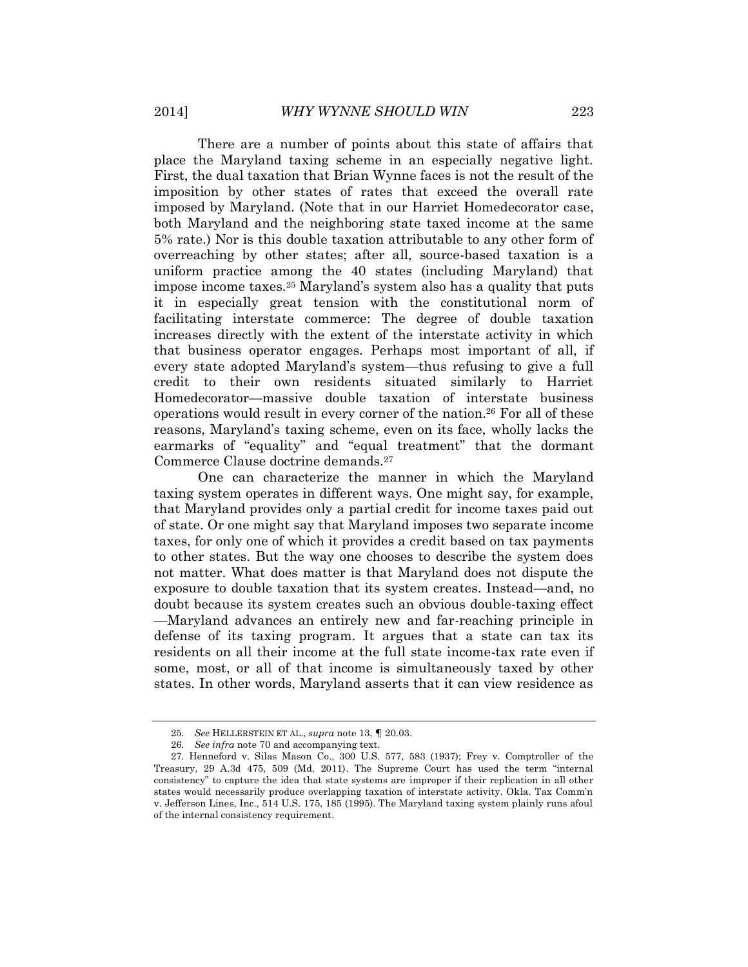There are a number of points about this state of affairs that place the Maryland taxing scheme in an especially negative light. First, the dual taxation that Brian Wynne faces is not the result of the imposition by other states of rates that exceed the overall rate imposed by Maryland. (Note that in our Harriet Homedecorator case, both Maryland and the neighboring state taxed income at the same 5% rate.) Nor is this double taxation attributable to any other form of overreaching by other states; after all, source-based taxation is a uniform practice among the 40 states (including Maryland) that impose income taxes. <sup>25</sup> Maryland's system also has a quality that puts it in especially great tension with the constitutional norm of facilitating interstate commerce: The degree of double taxation increases directly with the extent of the interstate activity in which that business operator engages. Perhaps most important of all, if every state adopted Maryland's system—thus refusing to give a full credit to their own residents situated similarly to Harriet Homedecorator—massive double taxation of interstate business operations would result in every corner of the nation.<sup>26</sup> For all of these reasons, Maryland's taxing scheme, even on its face, wholly lacks the earmarks of "equality" and "equal treatment" that the dormant Commerce Clause doctrine demands.<sup>27</sup>

One can characterize the manner in which the Maryland taxing system operates in different ways. One might say, for example, that Maryland provides only a partial credit for income taxes paid out of state. Or one might say that Maryland imposes two separate income taxes, for only one of which it provides a credit based on tax payments to other states. But the way one chooses to describe the system does not matter. What does matter is that Maryland does not dispute the exposure to double taxation that its system creates. Instead—and, no doubt because its system creates such an obvious double-taxing effect —Maryland advances an entirely new and far-reaching principle in defense of its taxing program. It argues that a state can tax its residents on all their income at the full state income-tax rate even if some, most, or all of that income is simultaneously taxed by other states. In other words, Maryland asserts that it can view residence as

<sup>25.</sup> *See* HELLERSTEIN ET AL., *supra* note 13, **¶** 20.03.

<sup>26.</sup> *See infra* note 70 and accompanying text.

<sup>27.</sup> Henneford v. Silas Mason Co., 300 U.S. 577, 583 (1937); Frey v. Comptroller of the Treasury, 29 A.3d 475, 509 (Md. 2011). The Supreme Court has used the term "internal consistency" to capture the idea that state systems are improper if their replication in all other states would necessarily produce overlapping taxation of interstate activity. Okla. Tax Comm'n v. Jefferson Lines, Inc., 514 U.S. 175, 185 (1995). The Maryland taxing system plainly runs afoul of the internal consistency requirement.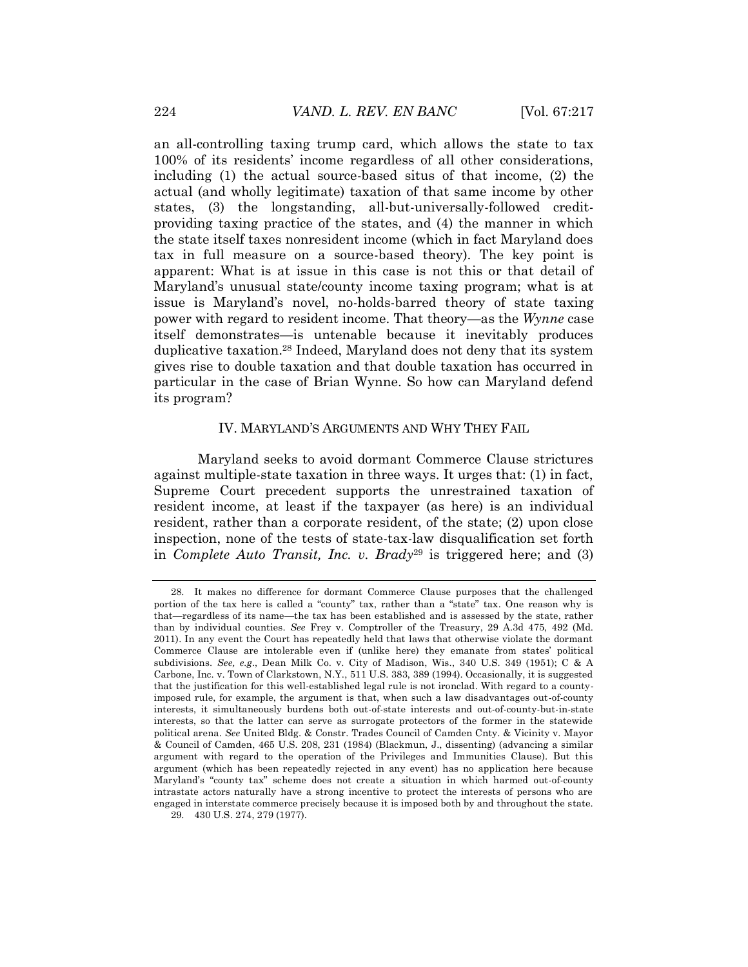an all-controlling taxing trump card, which allows the state to tax 100% of its residents' income regardless of all other considerations, including (1) the actual source-based situs of that income, (2) the actual (and wholly legitimate) taxation of that same income by other states, (3) the longstanding, all-but-universally-followed creditproviding taxing practice of the states, and (4) the manner in which the state itself taxes nonresident income (which in fact Maryland does tax in full measure on a source-based theory). The key point is apparent: What is at issue in this case is not this or that detail of Maryland's unusual state/county income taxing program; what is at issue is Maryland's novel, no-holds-barred theory of state taxing power with regard to resident income. That theory—as the *Wynne* case itself demonstrates—is untenable because it inevitably produces duplicative taxation.<sup>28</sup> Indeed, Maryland does not deny that its system gives rise to double taxation and that double taxation has occurred in particular in the case of Brian Wynne. So how can Maryland defend its program?

#### IV. MARYLAND'S ARGUMENTS AND WHY THEY FAIL

Maryland seeks to avoid dormant Commerce Clause strictures against multiple-state taxation in three ways. It urges that: (1) in fact, Supreme Court precedent supports the unrestrained taxation of resident income, at least if the taxpayer (as here) is an individual resident, rather than a corporate resident, of the state; (2) upon close inspection, none of the tests of state-tax-law disqualification set forth in *Complete Auto Transit, Inc. v. Brady*<sup>29</sup> is triggered here; and (3)

<sup>28.</sup> It makes no difference for dormant Commerce Clause purposes that the challenged portion of the tax here is called a "county" tax, rather than a "state" tax. One reason why is that—regardless of its name—the tax has been established and is assessed by the state, rather than by individual counties. *See* Frey v. Comptroller of the Treasury, 29 A.3d 475, 492 (Md. 2011). In any event the Court has repeatedly held that laws that otherwise violate the dormant Commerce Clause are intolerable even if (unlike here) they emanate from states' political subdivisions. *See, e.g*., Dean Milk Co. v. City of Madison, Wis., 340 U.S. 349 (1951); C & A Carbone, Inc. v. Town of Clarkstown, N.Y., 511 U.S. 383, 389 (1994). Occasionally, it is suggested that the justification for this well-established legal rule is not ironclad. With regard to a countyimposed rule, for example, the argument is that, when such a law disadvantages out-of-county interests, it simultaneously burdens both out-of-state interests and out-of-county-but-in-state interests, so that the latter can serve as surrogate protectors of the former in the statewide political arena. *See* United Bldg. & Constr. Trades Council of Camden Cnty. & Vicinity v. Mayor & Council of Camden, 465 U.S. 208, 231 (1984) (Blackmun, J., dissenting) (advancing a similar argument with regard to the operation of the Privileges and Immunities Clause). But this argument (which has been repeatedly rejected in any event) has no application here because Maryland's "county tax" scheme does not create a situation in which harmed out-of-county intrastate actors naturally have a strong incentive to protect the interests of persons who are engaged in interstate commerce precisely because it is imposed both by and throughout the state. 29. 430 U.S. 274, 279 (1977).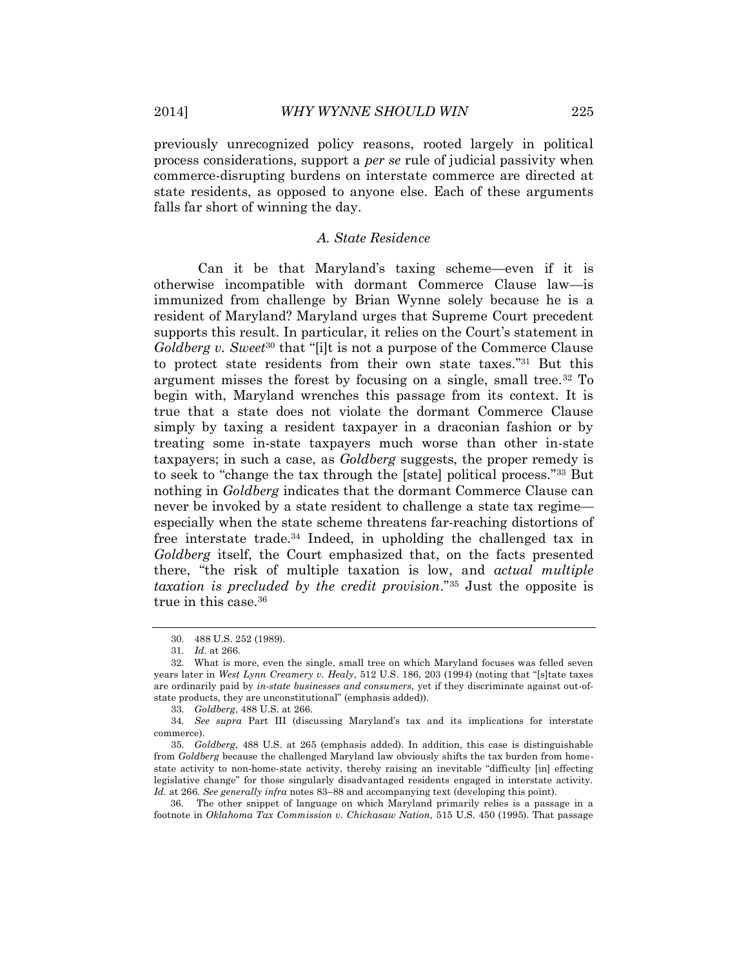previously unrecognized policy reasons, rooted largely in political process considerations, support a *per se* rule of judicial passivity when commerce-disrupting burdens on interstate commerce are directed at state residents, as opposed to anyone else. Each of these arguments falls far short of winning the day.

# *A. State Residence*

Can it be that Maryland's taxing scheme—even if it is otherwise incompatible with dormant Commerce Clause law—is immunized from challenge by Brian Wynne solely because he is a resident of Maryland? Maryland urges that Supreme Court precedent supports this result. In particular, it relies on the Court's statement in *Goldberg v. Sweet*<sup>30</sup> that "[i]t is not a purpose of the Commerce Clause to protect state residents from their own state taxes." <sup>31</sup> But this argument misses the forest by focusing on a single, small tree.<sup>32</sup> To begin with, Maryland wrenches this passage from its context. It is true that a state does not violate the dormant Commerce Clause simply by taxing a resident taxpayer in a draconian fashion or by treating some in-state taxpayers much worse than other in-state taxpayers; in such a case, as *Goldberg* suggests, the proper remedy is to seek to "change the tax through the [state] political process." <sup>33</sup> But nothing in *Goldberg* indicates that the dormant Commerce Clause can never be invoked by a state resident to challenge a state tax regime especially when the state scheme threatens far-reaching distortions of free interstate trade.<sup>34</sup> Indeed, in upholding the challenged tax in *Goldberg* itself, the Court emphasized that, on the facts presented there, "the risk of multiple taxation is low, and *actual multiple taxation is precluded by the credit provision*."<sup>35</sup> Just the opposite is true in this case.<sup>36</sup>

33. *Goldberg*, 488 U.S. at 266.

 36. The other snippet of language on which Maryland primarily relies is a passage in a footnote in *Oklahoma Tax Commission v. Chickasaw Nation,* 515 U.S. 450 (1995). That passage

<sup>30.</sup> 488 U.S. 252 (1989).

<sup>31.</sup> *Id*. at 266.

<sup>32.</sup> What is more, even the single, small tree on which Maryland focuses was felled seven years later in *West Lynn Creamery v. Healy*, 512 U.S. 186, 203 (1994) (noting that "[s]tate taxes are ordinarily paid by *in-state businesses and consumers,* yet if they discriminate against out-ofstate products, they are unconstitutional" (emphasis added)).

<sup>34.</sup> *See supra* Part III (discussing Maryland's tax and its implications for interstate commerce).

<sup>35.</sup> *Goldberg*, 488 U.S. at 265 (emphasis added). In addition, this case is distinguishable from *Goldberg* because the challenged Maryland law obviously shifts the tax burden from homestate activity to non-home-state activity, thereby raising an inevitable "difficulty [in] effecting legislative change" for those singularly disadvantaged residents engaged in interstate activity. *Id*. at 266. *See generally infra* notes 83–88 and accompanying text (developing this point).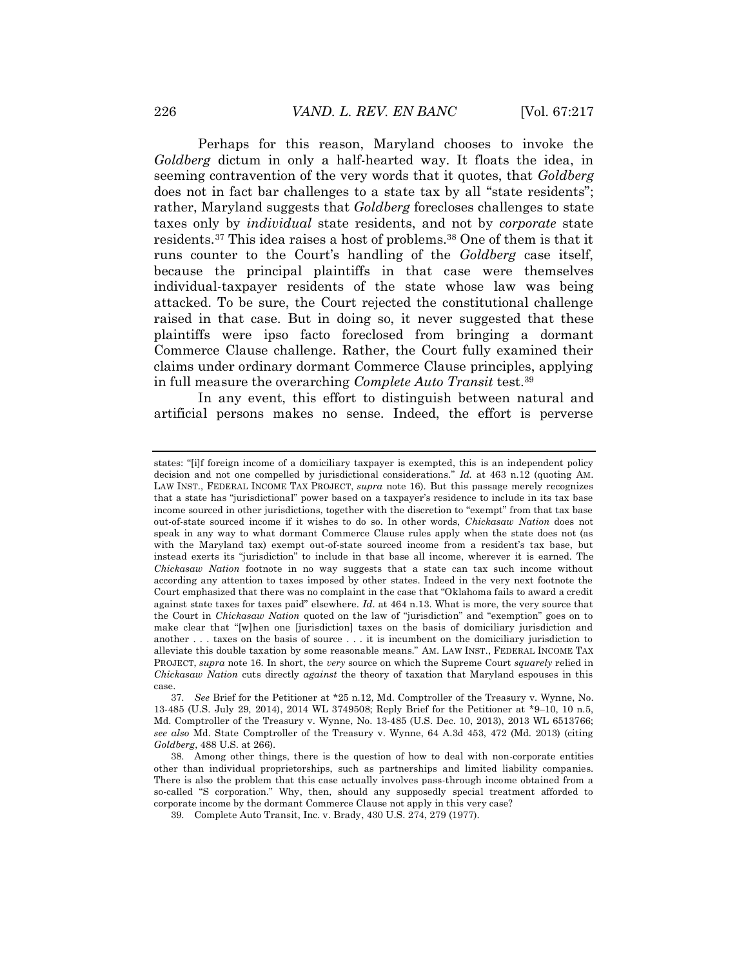Perhaps for this reason, Maryland chooses to invoke the *Goldberg* dictum in only a half-hearted way. It floats the idea, in seeming contravention of the very words that it quotes, that *Goldberg* does not in fact bar challenges to a state tax by all "state residents"; rather, Maryland suggests that *Goldberg* forecloses challenges to state taxes only by *individual* state residents, and not by *corporate* state residents.<sup>37</sup> This idea raises a host of problems.<sup>38</sup> One of them is that it runs counter to the Court's handling of the *Goldberg* case itself, because the principal plaintiffs in that case were themselves individual-taxpayer residents of the state whose law was being attacked. To be sure, the Court rejected the constitutional challenge raised in that case. But in doing so, it never suggested that these plaintiffs were ipso facto foreclosed from bringing a dormant Commerce Clause challenge. Rather, the Court fully examined their claims under ordinary dormant Commerce Clause principles, applying in full measure the overarching *Complete Auto Transit* test.<sup>39</sup>

In any event, this effort to distinguish between natural and artificial persons makes no sense. Indeed, the effort is perverse

states: "[i]f foreign income of a domiciliary taxpayer is exempted, this is an independent policy decision and not one compelled by jurisdictional considerations." *Id.* at 463 n.12 (quoting AM. LAW INST., FEDERAL INCOME TAX PROJECT, *supra* note 16). But this passage merely recognizes that a state has "jurisdictional" power based on a taxpayer's residence to include in its tax base income sourced in other jurisdictions, together with the discretion to "exempt" from that tax base out-of-state sourced income if it wishes to do so. In other words, *Chickasaw Nation* does not speak in any way to what dormant Commerce Clause rules apply when the state does not (as with the Maryland tax) exempt out-of-state sourced income from a resident's tax base, but instead exerts its "jurisdiction" to include in that base all income, wherever it is earned. The *Chickasaw Nation* footnote in no way suggests that a state can tax such income without according any attention to taxes imposed by other states. Indeed in the very next footnote the Court emphasized that there was no complaint in the case that "Oklahoma fails to award a credit against state taxes for taxes paid" elsewhere. *Id*. at 464 n.13. What is more, the very source that the Court in *Chickasaw Nation* quoted on the law of "jurisdiction" and "exemption" goes on to make clear that "[w]hen one [jurisdiction] taxes on the basis of domiciliary jurisdiction and another . . . taxes on the basis of source . . . it is incumbent on the domiciliary jurisdiction to alleviate this double taxation by some reasonable means." AM. LAW INST., FEDERAL INCOME TAX PROJECT, *supra* note 16. In short, the *very* source on which the Supreme Court *squarely* relied in *Chickasaw Nation* cuts directly *against* the theory of taxation that Maryland espouses in this case.

<sup>37.</sup> *See* Brief for the Petitioner at \*25 n.12, Md. Comptroller of the Treasury v. Wynne, No. 13-485 (U.S. July 29, 2014), 2014 WL 3749508; Reply Brief for the Petitioner at \*9–10, 10 n.5, Md. Comptroller of the Treasury v. Wynne, No. 13-485 (U.S. Dec. 10, 2013), 2013 WL 6513766; *see also* Md. State Comptroller of the Treasury v. Wynne, 64 A.3d 453, 472 (Md. 2013) (citing *Goldberg*, 488 U.S. at 266).

<sup>38.</sup> Among other things, there is the question of how to deal with non-corporate entities other than individual proprietorships, such as partnerships and limited liability companies. There is also the problem that this case actually involves pass-through income obtained from a so-called "S corporation." Why, then, should any supposedly special treatment afforded to corporate income by the dormant Commerce Clause not apply in this very case?

<sup>39.</sup> Complete Auto Transit, Inc. v. Brady, 430 U.S. 274, 279 (1977).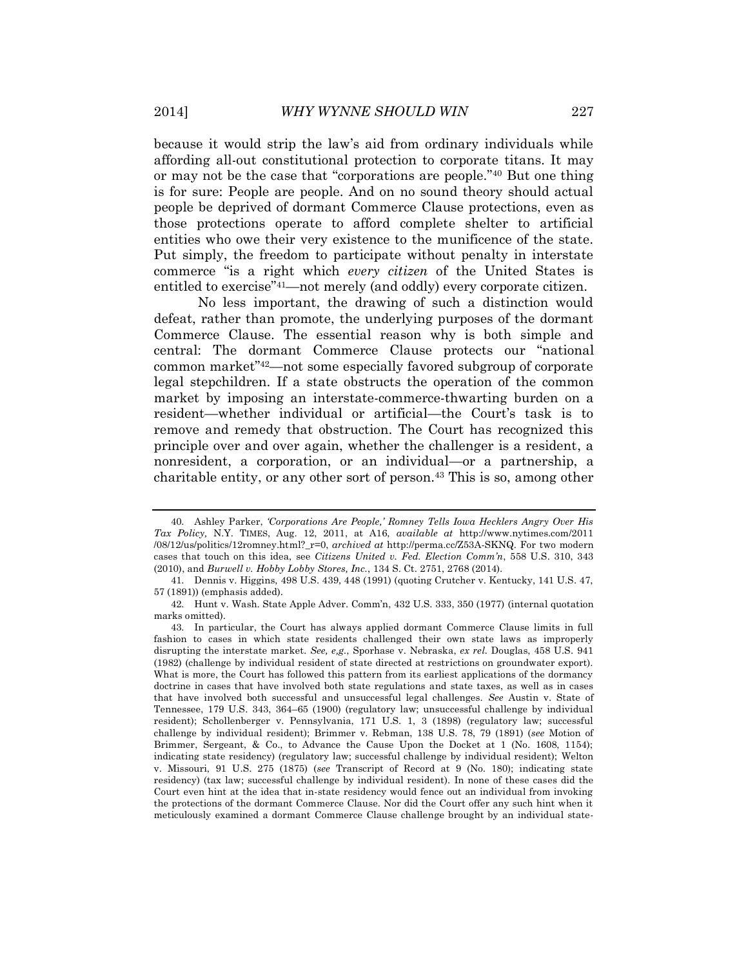because it would strip the law's aid from ordinary individuals while affording all-out constitutional protection to corporate titans. It may or may not be the case that "corporations are people." <sup>40</sup> But one thing is for sure: People are people. And on no sound theory should actual people be deprived of dormant Commerce Clause protections, even as those protections operate to afford complete shelter to artificial entities who owe their very existence to the munificence of the state. Put simply, the freedom to participate without penalty in interstate commerce "is a right which *every citizen* of the United States is entitled to exercise" <sup>41</sup>—not merely (and oddly) every corporate citizen.

No less important, the drawing of such a distinction would defeat, rather than promote, the underlying purposes of the dormant Commerce Clause. The essential reason why is both simple and central: The dormant Commerce Clause protects our "national common market" <sup>42</sup>—not some especially favored subgroup of corporate legal stepchildren. If a state obstructs the operation of the common market by imposing an interstate-commerce-thwarting burden on a resident—whether individual or artificial—the Court's task is to remove and remedy that obstruction. The Court has recognized this principle over and over again, whether the challenger is a resident, a nonresident, a corporation, or an individual—or a partnership, a charitable entity, or any other sort of person.<sup>43</sup> This is so, among other

<sup>40.</sup> Ashley Parker, *'Corporations Are People,' Romney Tells Iowa Hecklers Angry Over His Tax Policy,* N.Y. TIMES, Aug. 12, 2011, at A16, *available at* http://www.nytimes.com/2011 /08/12/us/politics/12romney.html?\_r=0, *archived at* http://perma.cc/Z53A-SKNQ*.* For two modern cases that touch on this idea, see *Citizens United v. Fed. Election Comm'n*, 558 U.S. 310, 343 (2010), and *Burwell v. Hobby Lobby Stores, Inc.*, 134 S. Ct. 2751, 2768 (2014).

<sup>41.</sup> Dennis v. Higgins, 498 U.S. 439, 448 (1991) (quoting Crutcher v. Kentucky, 141 U.S. 47, 57 (1891)) (emphasis added).

<sup>42.</sup> Hunt v. Wash. State Apple Adver. Comm'n, 432 U.S. 333, 350 (1977) (internal quotation marks omitted).

<sup>43.</sup> In particular, the Court has always applied dormant Commerce Clause limits in full fashion to cases in which state residents challenged their own state laws as improperly disrupting the interstate market*. See, e,g.*, Sporhase v. Nebraska, *ex rel.* Douglas, 458 U.S. 941 (1982) (challenge by individual resident of state directed at restrictions on groundwater export). What is more, the Court has followed this pattern from its earliest applications of the dormancy doctrine in cases that have involved both state regulations and state taxes, as well as in cases that have involved both successful and unsuccessful legal challenges. *See* Austin v. State of Tennessee, 179 U.S. 343, 364–65 (1900) (regulatory law; unsuccessful challenge by individual resident); Schollenberger v. Pennsylvania, 171 U.S. 1, 3 (1898) (regulatory law; successful challenge by individual resident); Brimmer v. Rebman, 138 U.S. 78, 79 (1891) (*see* Motion of Brimmer, Sergeant, & Co., to Advance the Cause Upon the Docket at 1 (No. 1608, 1154); indicating state residency) (regulatory law; successful challenge by individual resident); Welton v. Missouri, 91 U.S. 275 (1875) (*see* Transcript of Record at 9 (No. 180); indicating state residency) (tax law; successful challenge by individual resident). In none of these cases did the Court even hint at the idea that in-state residency would fence out an individual from invoking the protections of the dormant Commerce Clause. Nor did the Court offer any such hint when it meticulously examined a dormant Commerce Clause challenge brought by an individual state-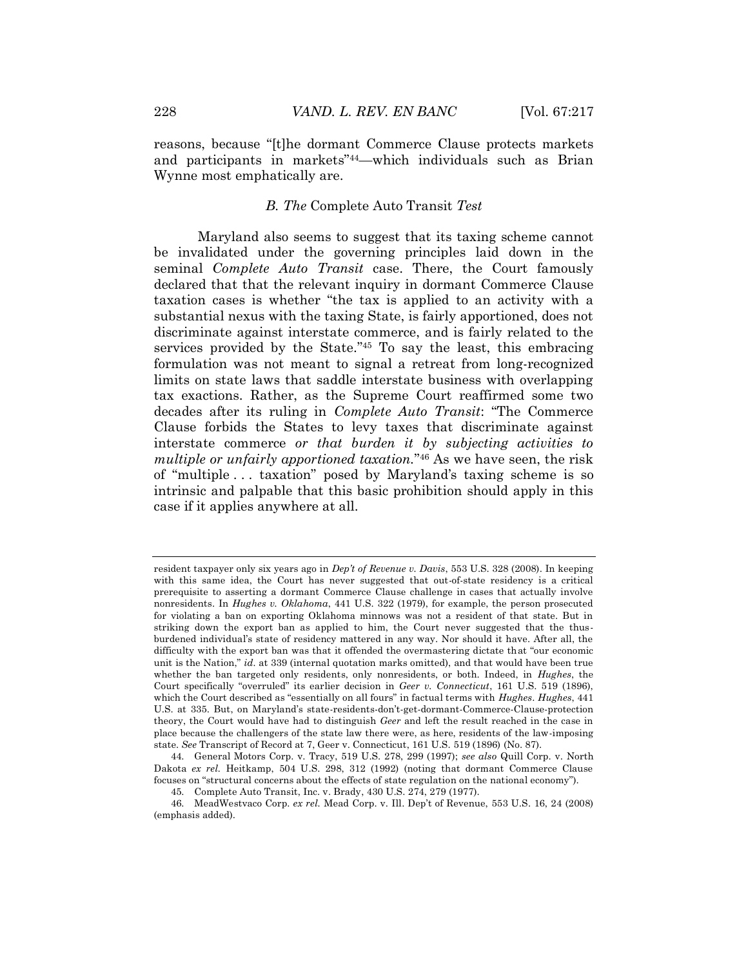reasons, because "[t]he dormant Commerce Clause protects markets and participants in markets" <sup>44</sup>—which individuals such as Brian Wynne most emphatically are.

#### *B. The* Complete Auto Transit *Test*

Maryland also seems to suggest that its taxing scheme cannot be invalidated under the governing principles laid down in the seminal *Complete Auto Transit* case. There, the Court famously declared that that the relevant inquiry in dormant Commerce Clause taxation cases is whether "the tax is applied to an activity with a substantial nexus with the taxing State, is fairly apportioned, does not discriminate against interstate commerce, and is fairly related to the services provided by the State.<sup>"45</sup> To say the least, this embracing formulation was not meant to signal a retreat from long-recognized limits on state laws that saddle interstate business with overlapping tax exactions. Rather, as the Supreme Court reaffirmed some two decades after its ruling in *Complete Auto Transit*: "The Commerce Clause forbids the States to levy taxes that discriminate against interstate commerce *or that burden it by subjecting activities to multiple or unfairly apportioned taxation.*" <sup>46</sup> As we have seen, the risk of "multiple . . . taxation" posed by Maryland's taxing scheme is so intrinsic and palpable that this basic prohibition should apply in this case if it applies anywhere at all.

resident taxpayer only six years ago in *Dep't of Revenue v. Davis*, 553 U.S. 328 (2008). In keeping with this same idea, the Court has never suggested that out-of-state residency is a critical prerequisite to asserting a dormant Commerce Clause challenge in cases that actually involve nonresidents. In *Hughes v. Oklahoma*, 441 U.S. 322 (1979), for example, the person prosecuted for violating a ban on exporting Oklahoma minnows was not a resident of that state. But in striking down the export ban as applied to him, the Court never suggested that the thusburdened individual's state of residency mattered in any way. Nor should it have. After all, the difficulty with the export ban was that it offended the overmastering dictate that "our economic unit is the Nation," *id.* at 339 (internal quotation marks omitted), and that would have been true whether the ban targeted only residents, only nonresidents, or both. Indeed, in *Hughes*, the Court specifically "overruled" its earlier decision in *Geer v. Connecticut*, 161 U.S. 519 (1896), which the Court described as "essentially on all fours" in factual terms with *Hughes*. *Hughes*, 441 U.S. at 335. But, on Maryland's state-residents-don't-get-dormant-Commerce-Clause-protection theory, the Court would have had to distinguish *Geer* and left the result reached in the case in place because the challengers of the state law there were, as here, residents of the law-imposing state. *See* Transcript of Record at 7, Geer v. Connecticut, 161 U.S. 519 (1896) (No. 87).

<sup>44.</sup> General Motors Corp. v. Tracy, 519 U.S. 278, 299 (1997); *see also* Quill Corp. v. North Dakota *ex rel.* Heitkamp, 504 U.S. 298, 312 (1992) (noting that dormant Commerce Clause focuses on "structural concerns about the effects of state regulation on the national economy").

<sup>45.</sup> Complete Auto Transit, Inc. v. Brady, 430 U.S. 274, 279 (1977).

<sup>46.</sup> MeadWestvaco Corp. *ex rel.* Mead Corp. v. Ill. Dep't of Revenue, 553 U.S. 16, 24 (2008) (emphasis added).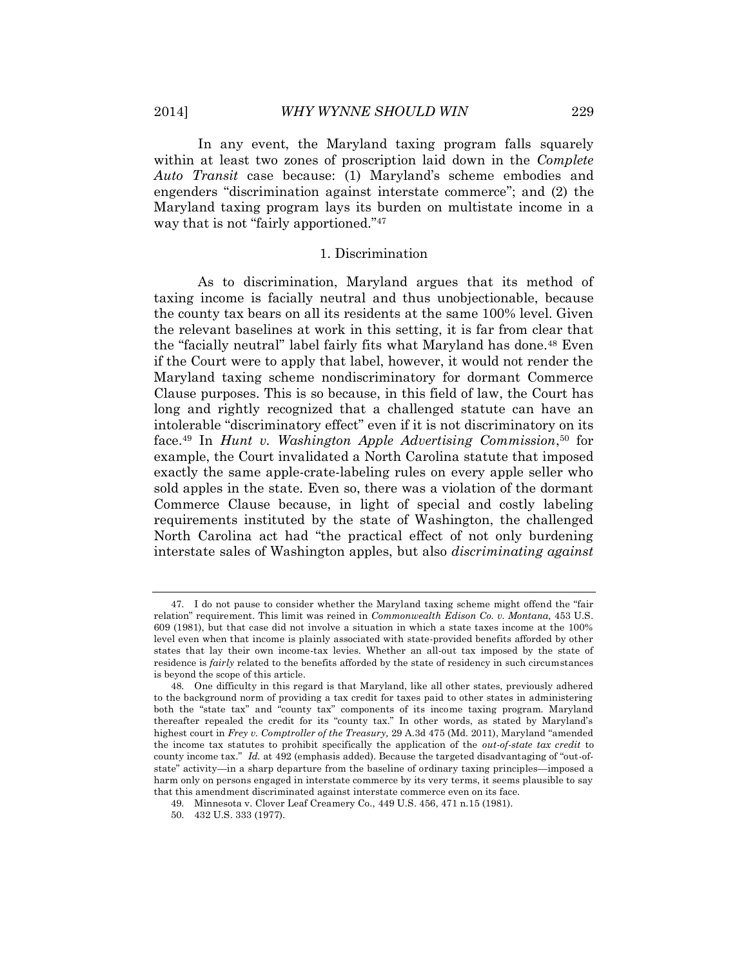In any event, the Maryland taxing program falls squarely within at least two zones of proscription laid down in the *Complete Auto Transit* case because: (1) Maryland's scheme embodies and engenders "discrimination against interstate commerce"; and (2) the Maryland taxing program lays its burden on multistate income in a way that is not "fairly apportioned." 47

#### 1. Discrimination

As to discrimination, Maryland argues that its method of taxing income is facially neutral and thus unobjectionable, because the county tax bears on all its residents at the same 100% level. Given the relevant baselines at work in this setting, it is far from clear that the "facially neutral" label fairly fits what Maryland has done.<sup>48</sup> Even if the Court were to apply that label, however, it would not render the Maryland taxing scheme nondiscriminatory for dormant Commerce Clause purposes. This is so because, in this field of law, the Court has long and rightly recognized that a challenged statute can have an intolerable "discriminatory effect" even if it is not discriminatory on its face.<sup>49</sup> In *Hunt v. Washington Apple Advertising Commission*, <sup>50</sup> for example, the Court invalidated a North Carolina statute that imposed exactly the same apple-crate-labeling rules on every apple seller who sold apples in the state. Even so, there was a violation of the dormant Commerce Clause because, in light of special and costly labeling requirements instituted by the state of Washington, the challenged North Carolina act had "the practical effect of not only burdening interstate sales of Washington apples, but also *discriminating against* 

<sup>47.</sup> I do not pause to consider whether the Maryland taxing scheme might offend the "fair relation" requirement. This limit was reined in *Commonwealth Edison Co. v. Montana,* 453 U.S. 609 (1981), but that case did not involve a situation in which a state taxes income at the 100% level even when that income is plainly associated with state-provided benefits afforded by other states that lay their own income-tax levies. Whether an all-out tax imposed by the state of residence is *fairly* related to the benefits afforded by the state of residency in such circumstances is beyond the scope of this article.

<sup>48.</sup> One difficulty in this regard is that Maryland, like all other states, previously adhered to the background norm of providing a tax credit for taxes paid to other states in administering both the "state tax" and "county tax" components of its income taxing program. Maryland thereafter repealed the credit for its "county tax." In other words, as stated by Maryland's highest court in *Frey v. Comptroller of the Treasury,* 29 A.3d 475 (Md. 2011), Maryland "amended the income tax statutes to prohibit specifically the application of the *out-of-state tax credit* to county income tax." *Id.* at 492 (emphasis added). Because the targeted disadvantaging of "out-ofstate" activity—in a sharp departure from the baseline of ordinary taxing principles—imposed a harm only on persons engaged in interstate commerce by its very terms, it seems plausible to say that this amendment discriminated against interstate commerce even on its face.

<sup>49.</sup> Minnesota v. Clover Leaf Creamery Co., 449 U.S. 456, 471 n.15 (1981).

<sup>50.</sup> 432 U.S. 333 (1977).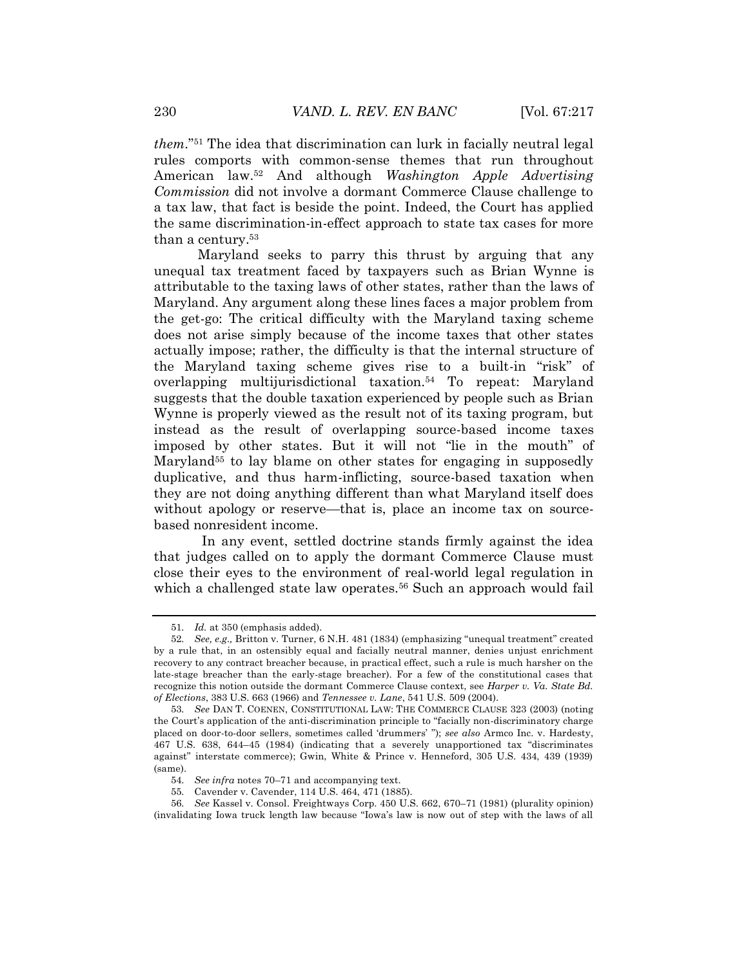*them*." <sup>51</sup> The idea that discrimination can lurk in facially neutral legal rules comports with common-sense themes that run throughout American law.<sup>52</sup> And although *Washington Apple Advertising Commission* did not involve a dormant Commerce Clause challenge to a tax law, that fact is beside the point. Indeed, the Court has applied the same discrimination-in-effect approach to state tax cases for more than a century.<sup>53</sup>

Maryland seeks to parry this thrust by arguing that any unequal tax treatment faced by taxpayers such as Brian Wynne is attributable to the taxing laws of other states, rather than the laws of Maryland. Any argument along these lines faces a major problem from the get-go: The critical difficulty with the Maryland taxing scheme does not arise simply because of the income taxes that other states actually impose; rather, the difficulty is that the internal structure of the Maryland taxing scheme gives rise to a built-in "risk" of overlapping multijurisdictional taxation.<sup>54</sup> To repeat: Maryland suggests that the double taxation experienced by people such as Brian Wynne is properly viewed as the result not of its taxing program, but instead as the result of overlapping source-based income taxes imposed by other states. But it will not "lie in the mouth" of Maryland<sup>55</sup> to lay blame on other states for engaging in supposedly duplicative, and thus harm-inflicting, source-based taxation when they are not doing anything different than what Maryland itself does without apology or reserve—that is, place an income tax on sourcebased nonresident income.

In any event, settled doctrine stands firmly against the idea that judges called on to apply the dormant Commerce Clause must close their eyes to the environment of real-world legal regulation in which a challenged state law operates.<sup>56</sup> Such an approach would fail

<sup>51.</sup> *Id.* at 350 (emphasis added).

<sup>52.</sup> *See, e.g.,* Britton v. Turner, 6 N.H. 481 (1834) (emphasizing "unequal treatment" created by a rule that, in an ostensibly equal and facially neutral manner, denies unjust enrichment recovery to any contract breacher because, in practical effect, such a rule is much harsher on the late-stage breacher than the early-stage breacher). For a few of the constitutional cases that recognize this notion outside the dormant Commerce Clause context, see *Harper v. Va. State Bd. of Elections*, 383 U.S. 663 (1966) and *Tennessee v. Lane*, 541 U.S. 509 (2004).

<sup>53.</sup> *See* DAN T. COENEN, CONSTITUTIONAL LAW: THE COMMERCE CLAUSE 323 (2003) (noting the Court's application of the anti-discrimination principle to "facially non-discriminatory charge placed on door-to-door sellers, sometimes called 'drummers' "); *see also* Armco Inc. v. Hardesty, 467 U.S. 638, 644–45 (1984) (indicating that a severely unapportioned tax "discriminates against" interstate commerce); Gwin, White & Prince v. Henneford, 305 U.S. 434, 439 (1939) (same).

<sup>54.</sup> *See infra* notes 70–71 and accompanying text.

<sup>55.</sup> Cavender v. Cavender, 114 U.S. 464, 471 (1885).

<sup>56.</sup> *See* Kassel v. Consol. Freightways Corp. 450 U.S. 662, 670–71 (1981) (plurality opinion) (invalidating Iowa truck length law because "Iowa's law is now out of step with the laws of all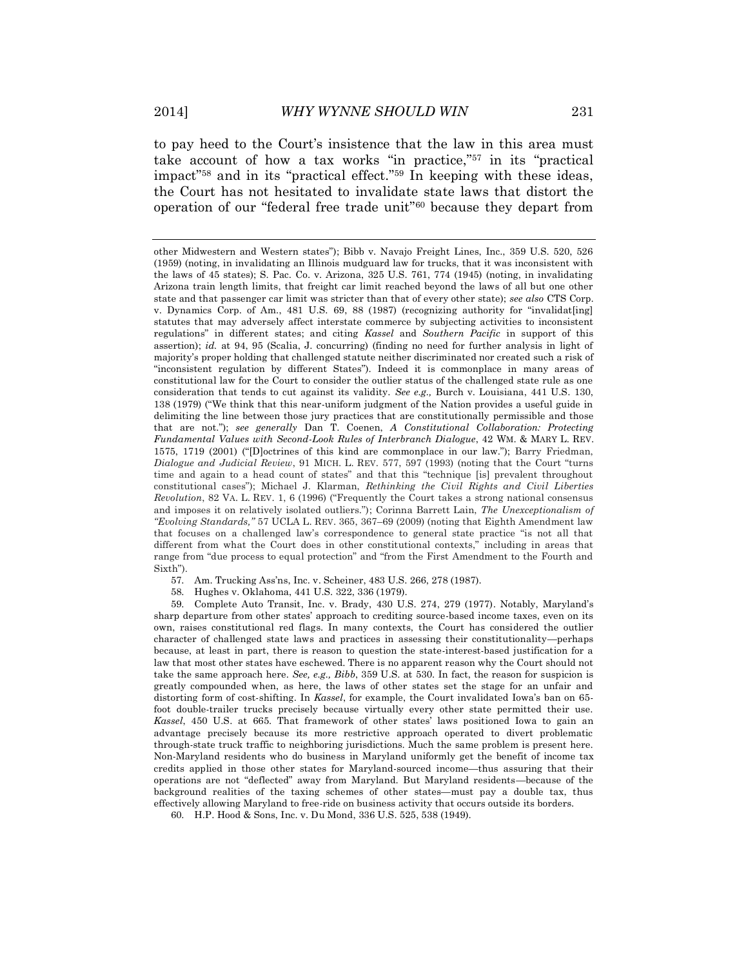to pay heed to the Court's insistence that the law in this area must take account of how a tax works "in practice," <sup>57</sup> in its "practical impact" <sup>58</sup> and in its "practical effect." <sup>59</sup> In keeping with these ideas, the Court has not hesitated to invalidate state laws that distort the operation of our "federal free trade unit" <sup>60</sup> because they depart from

58. Hughes v. Oklahoma, 441 U.S. 322, 336 (1979).

59. Complete Auto Transit, Inc. v. Brady, 430 U.S. 274, 279 (1977). Notably, Maryland's sharp departure from other states' approach to crediting source-based income taxes, even on its own, raises constitutional red flags. In many contexts, the Court has considered the outlier character of challenged state laws and practices in assessing their constitutionality—perhaps because, at least in part, there is reason to question the state-interest-based justification for a law that most other states have eschewed. There is no apparent reason why the Court should not take the same approach here. *See, e.g., Bibb*, 359 U.S. at 530. In fact, the reason for suspicion is greatly compounded when, as here, the laws of other states set the stage for an unfair and distorting form of cost-shifting. In *Kassel*, for example, the Court invalidated Iowa's ban on 65 foot double-trailer trucks precisely because virtually every other state permitted their use. *Kassel*, 450 U.S. at 665. That framework of other states' laws positioned Iowa to gain an advantage precisely because its more restrictive approach operated to divert problematic through-state truck traffic to neighboring jurisdictions. Much the same problem is present here. Non-Maryland residents who do business in Maryland uniformly get the benefit of income tax credits applied in those other states for Maryland-sourced income—thus assuring that their operations are not "deflected" away from Maryland. But Maryland residents—because of the background realities of the taxing schemes of other states—must pay a double tax, thus effectively allowing Maryland to free-ride on business activity that occurs outside its borders.

60. H.P. Hood & Sons, Inc. v. Du Mond, 336 U.S. 525, 538 (1949).

other Midwestern and Western states"); Bibb v. Navajo Freight Lines, Inc., 359 U.S. 520, 526 (1959) (noting, in invalidating an Illinois mudguard law for trucks, that it was inconsistent with the laws of 45 states); S. Pac. Co. v. Arizona, 325 U.S. 761, 774 (1945) (noting, in invalidating Arizona train length limits, that freight car limit reached beyond the laws of all but one other state and that passenger car limit was stricter than that of every other state); *see also* CTS Corp. v. Dynamics Corp. of Am., 481 U.S. 69, 88 (1987) (recognizing authority for "invalidat[ing] statutes that may adversely affect interstate commerce by subjecting activities to inconsistent regulations" in different states; and citing *Kassel* and *Southern Pacific* in support of this assertion); *id.* at 94, 95 (Scalia, J. concurring) (finding no need for further analysis in light of majority's proper holding that challenged statute neither discriminated nor created such a risk of "inconsistent regulation by different States"). Indeed it is commonplace in many areas of constitutional law for the Court to consider the outlier status of the challenged state rule as one consideration that tends to cut against its validity. *See e.g.,* Burch v. Louisiana, 441 U.S. 130, 138 (1979) ("We think that this near-uniform judgment of the Nation provides a useful guide in delimiting the line between those jury practices that are constitutionally permissible and those that are not."); *see generally* Dan T. Coenen, *A Constitutional Collaboration: Protecting Fundamental Values with Second-Look Rules of Interbranch Dialogue*, 42 WM. & MARY L. REV. 1575, 1719 (2001) ("[D]octrines of this kind are commonplace in our law."); Barry Friedman, *Dialogue and Judicial Review*, 91 MICH. L. REV. 577, 597 (1993) (noting that the Court "turns time and again to a head count of states" and that this "technique [is] prevalent throughout constitutional cases"); Michael J. Klarman, *Rethinking the Civil Rights and Civil Liberties Revolution*, 82 VA. L. REV. 1, 6 (1996) ("Frequently the Court takes a strong national consensus and imposes it on relatively isolated outliers."); Corinna Barrett Lain, *The Unexceptionalism of "Evolving Standards,"* 57 UCLA L. REV. 365, 367–69 (2009) (noting that Eighth Amendment law that focuses on a challenged law's correspondence to general state practice "is not all that different from what the Court does in other constitutional contexts," including in areas that range from "due process to equal protection" and "from the First Amendment to the Fourth and Sixth").

<sup>57.</sup> Am. Trucking Ass'ns, Inc. v. Scheiner, 483 U.S. 266, 278 (1987).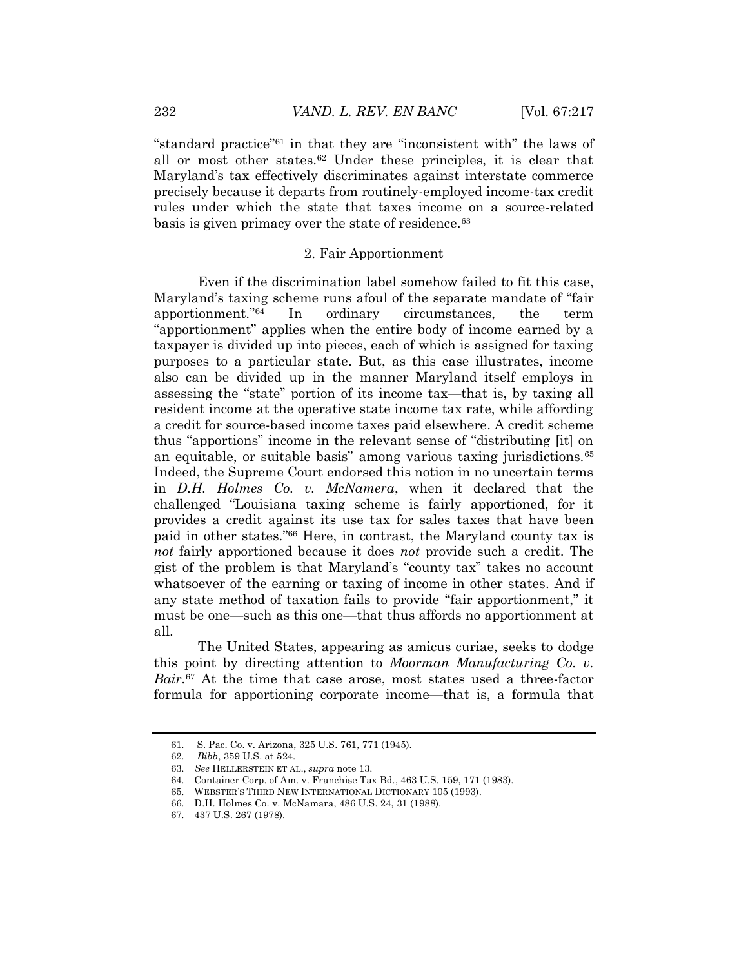"standard practice" <sup>61</sup> in that they are "inconsistent with" the laws of all or most other states.<sup>62</sup> Under these principles, it is clear that Maryland's tax effectively discriminates against interstate commerce precisely because it departs from routinely-employed income-tax credit rules under which the state that taxes income on a source-related basis is given primacy over the state of residence.<sup>63</sup>

# 2. Fair Apportionment

Even if the discrimination label somehow failed to fit this case, Maryland's taxing scheme runs afoul of the separate mandate of "fair apportionment." In ordinary circumstances, the term "apportionment" applies when the entire body of income earned by a taxpayer is divided up into pieces, each of which is assigned for taxing purposes to a particular state. But, as this case illustrates, income also can be divided up in the manner Maryland itself employs in assessing the "state" portion of its income tax—that is, by taxing all resident income at the operative state income tax rate, while affording a credit for source-based income taxes paid elsewhere. A credit scheme thus "apportions" income in the relevant sense of "distributing [it] on an equitable, or suitable basis" among various taxing jurisdictions.<sup>65</sup> Indeed, the Supreme Court endorsed this notion in no uncertain terms in *D.H. Holmes Co. v. McNamera*, when it declared that the challenged "Louisiana taxing scheme is fairly apportioned, for it provides a credit against its use tax for sales taxes that have been paid in other states." <sup>66</sup> Here, in contrast, the Maryland county tax is *not* fairly apportioned because it does *not* provide such a credit. The gist of the problem is that Maryland's "county tax" takes no account whatsoever of the earning or taxing of income in other states. And if any state method of taxation fails to provide "fair apportionment," it must be one—such as this one—that thus affords no apportionment at all.

The United States, appearing as amicus curiae, seeks to dodge this point by directing attention to *Moorman Manufacturing Co. v. Bair*. <sup>67</sup> At the time that case arose, most states used a three-factor formula for apportioning corporate income—that is, a formula that

<sup>61.</sup> S. Pac. Co. v. Arizona, 325 U.S. 761, 771 (1945).

<sup>62.</sup> *Bibb*, 359 U.S. at 524.

<sup>63.</sup> *See* HELLERSTEIN ET AL., *supra* note 13.

<sup>64.</sup> Container Corp. of Am. v. Franchise Tax Bd., 463 U.S. 159, 171 (1983).

<sup>65.</sup> WEBSTER'S THIRD NEW INTERNATIONAL DICTIONARY 105 (1993).

<sup>66.</sup> D.H. Holmes Co. v. McNamara, 486 U.S. 24, 31 (1988).

<sup>67.</sup> 437 U.S. 267 (1978).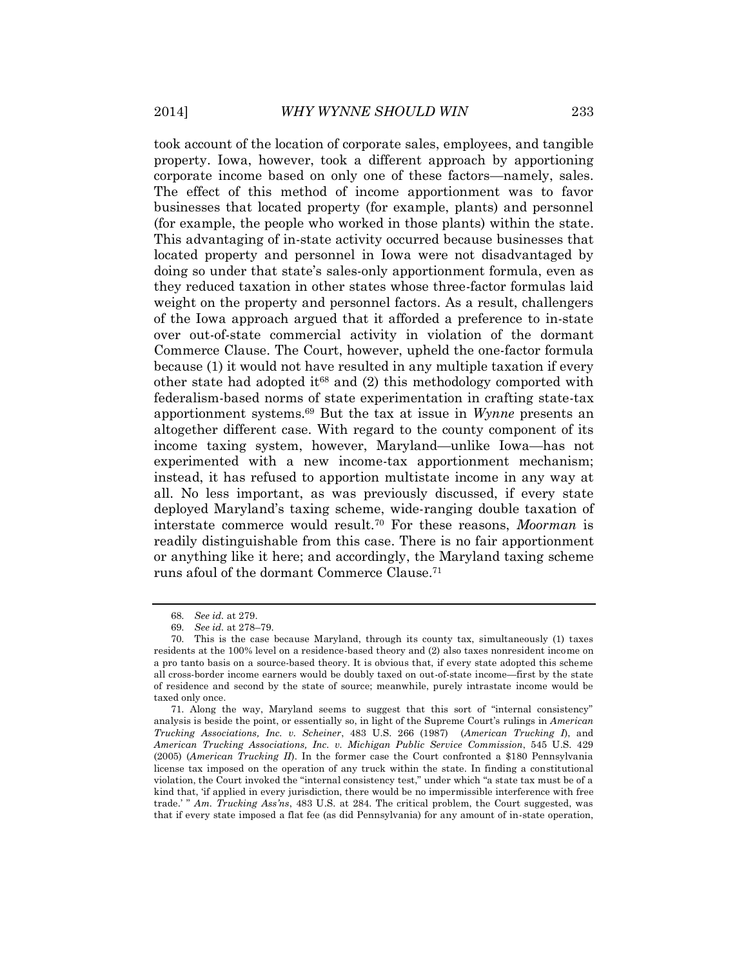took account of the location of corporate sales, employees, and tangible property. Iowa, however, took a different approach by apportioning corporate income based on only one of these factors—namely, sales. The effect of this method of income apportionment was to favor businesses that located property (for example, plants) and personnel (for example, the people who worked in those plants) within the state. This advantaging of in-state activity occurred because businesses that located property and personnel in Iowa were not disadvantaged by doing so under that state's sales-only apportionment formula, even as they reduced taxation in other states whose three-factor formulas laid weight on the property and personnel factors. As a result, challengers of the Iowa approach argued that it afforded a preference to in-state over out-of-state commercial activity in violation of the dormant Commerce Clause. The Court, however, upheld the one-factor formula because (1) it would not have resulted in any multiple taxation if every other state had adopted it<sup>68</sup> and  $(2)$  this methodology comported with federalism-based norms of state experimentation in crafting state-tax apportionment systems.<sup>69</sup> But the tax at issue in *Wynne* presents an altogether different case. With regard to the county component of its income taxing system, however, Maryland—unlike Iowa—has not experimented with a new income-tax apportionment mechanism; instead, it has refused to apportion multistate income in any way at all. No less important, as was previously discussed, if every state deployed Maryland's taxing scheme, wide-ranging double taxation of interstate commerce would result.<sup>70</sup> For these reasons, *Moorman* is readily distinguishable from this case. There is no fair apportionment or anything like it here; and accordingly, the Maryland taxing scheme runs afoul of the dormant Commerce Clause.<sup>71</sup>

<sup>68.</sup> *See id.* at 279.

<sup>69.</sup> *See id.* at 278–79.

<sup>70.</sup> This is the case because Maryland, through its county tax, simultaneously (1) taxes residents at the 100% level on a residence-based theory and (2) also taxes nonresident income on a pro tanto basis on a source-based theory. It is obvious that, if every state adopted this scheme all cross-border income earners would be doubly taxed on out-of-state income—first by the state of residence and second by the state of source; meanwhile, purely intrastate income would be taxed only once.

<sup>71</sup>. Along the way, Maryland seems to suggest that this sort of "internal consistency" analysis is beside the point, or essentially so, in light of the Supreme Court's rulings in *American Trucking Associations, Inc. v. Scheiner*, 483 U.S. 266 (1987) (*American Trucking I*), and *American Trucking Associations, Inc. v. Michigan Public Service Commission*, 545 U.S. 429 (2005) (*American Trucking II*). In the former case the Court confronted a \$180 Pennsylvania license tax imposed on the operation of any truck within the state. In finding a constitutional violation, the Court invoked the "internal consistency test," under which "a state tax must be of a kind that, 'if applied in every jurisdiction, there would be no impermissible interference with free trade.' " *Am. Trucking Ass'ns*, 483 U.S. at 284. The critical problem, the Court suggested, was that if every state imposed a flat fee (as did Pennsylvania) for any amount of in-state operation,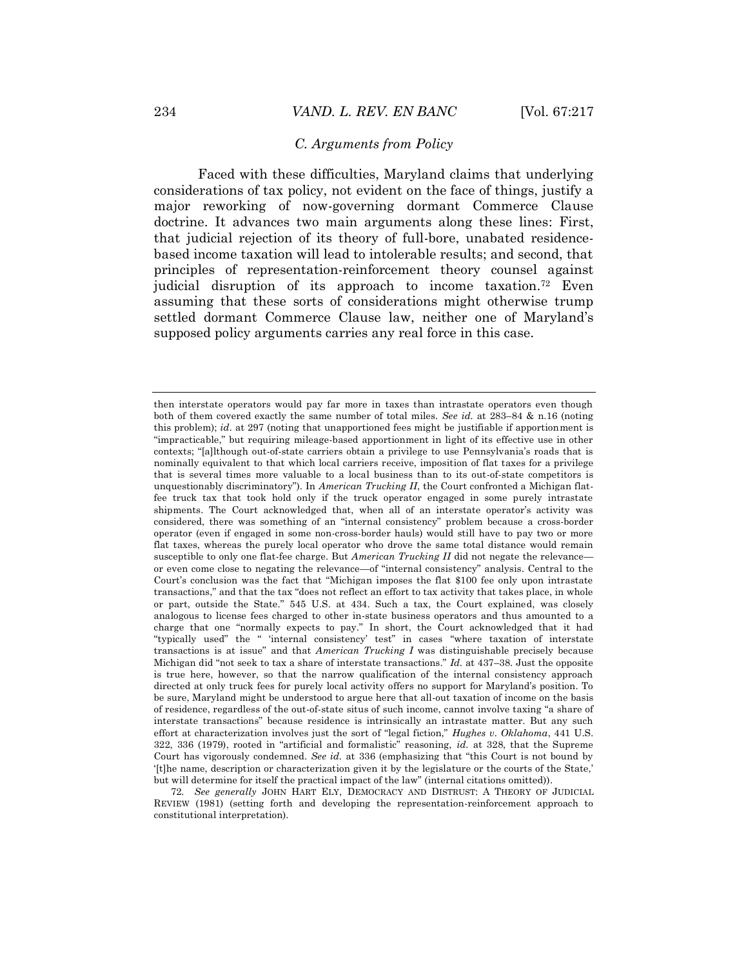# *C. Arguments from Policy*

Faced with these difficulties, Maryland claims that underlying considerations of tax policy, not evident on the face of things, justify a major reworking of now-governing dormant Commerce Clause doctrine. It advances two main arguments along these lines: First, that judicial rejection of its theory of full-bore, unabated residencebased income taxation will lead to intolerable results; and second, that principles of representation-reinforcement theory counsel against judicial disruption of its approach to income taxation.<sup>72</sup> Even assuming that these sorts of considerations might otherwise trump settled dormant Commerce Clause law, neither one of Maryland's supposed policy arguments carries any real force in this case.

72. *See generally* JOHN HART ELY, DEMOCRACY AND DISTRUST: A THEORY OF JUDICIAL REVIEW (1981) (setting forth and developing the representation-reinforcement approach to constitutional interpretation).

then interstate operators would pay far more in taxes than intrastate operators even though both of them covered exactly the same number of total miles. *See id.* at 283–84 & n.16 (noting this problem); *id.* at 297 (noting that unapportioned fees might be justifiable if apportionment is "impracticable," but requiring mileage-based apportionment in light of its effective use in other contexts; "[a]lthough out-of-state carriers obtain a privilege to use Pennsylvania's roads that is nominally equivalent to that which local carriers receive, imposition of flat taxes for a privilege that is several times more valuable to a local business than to its out-of-state competitors is unquestionably discriminatory"). In *American Trucking II*, the Court confronted a Michigan flatfee truck tax that took hold only if the truck operator engaged in some purely intrastate shipments. The Court acknowledged that, when all of an interstate operator's activity was considered, there was something of an "internal consistency" problem because a cross-border operator (even if engaged in some non-cross-border hauls) would still have to pay two or more flat taxes, whereas the purely local operator who drove the same total distance would remain susceptible to only one flat-fee charge. But *American Trucking II* did not negate the relevance or even come close to negating the relevance—of "internal consistency" analysis. Central to the Court's conclusion was the fact that "Michigan imposes the flat \$100 fee only upon intrastate transactions," and that the tax "does not reflect an effort to tax activity that takes place, in whole or part, outside the State." 545 U.S. at 434. Such a tax, the Court explained, was closely analogous to license fees charged to other in-state business operators and thus amounted to a charge that one "normally expects to pay." In short, the Court acknowledged that it had "typically used" the " 'internal consistency' test" in cases "where taxation of interstate transactions is at issue" and that *American Trucking I* was distinguishable precisely because Michigan did "not seek to tax a share of interstate transactions." *Id*. at 437–38. Just the opposite is true here, however, so that the narrow qualification of the internal consistency approach directed at only truck fees for purely local activity offers no support for Maryland's position. To be sure, Maryland might be understood to argue here that all-out taxation of income on the basis of residence, regardless of the out-of-state situs of such income, cannot involve taxing "a share of interstate transactions" because residence is intrinsically an intrastate matter. But any such effort at characterization involves just the sort of "legal fiction," *Hughes v. Oklahoma*, 441 U.S. 322, 336 (1979), rooted in "artificial and formalistic" reasoning, *id.* at 328, that the Supreme Court has vigorously condemned. *See id.* at 336 (emphasizing that "this Court is not bound by '[t]he name, description or characterization given it by the legislature or the courts of the State,' but will determine for itself the practical impact of the law" (internal citations omitted)).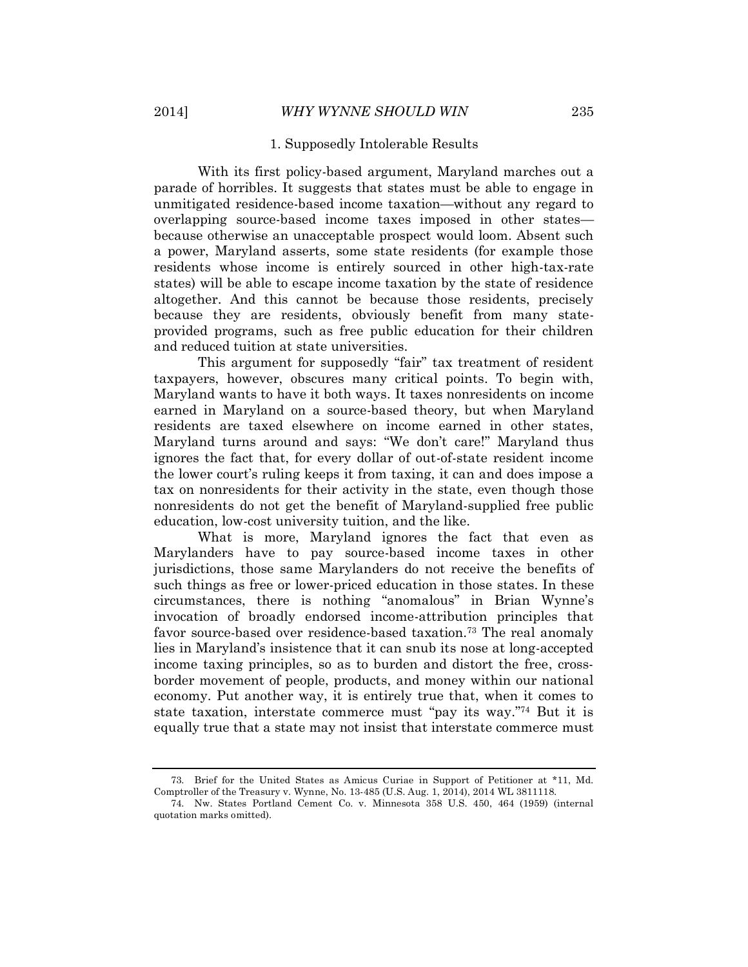#### 1. Supposedly Intolerable Results

With its first policy-based argument, Maryland marches out a parade of horribles. It suggests that states must be able to engage in unmitigated residence-based income taxation—without any regard to overlapping source-based income taxes imposed in other states because otherwise an unacceptable prospect would loom. Absent such a power, Maryland asserts, some state residents (for example those residents whose income is entirely sourced in other high-tax-rate states) will be able to escape income taxation by the state of residence altogether. And this cannot be because those residents, precisely because they are residents, obviously benefit from many stateprovided programs, such as free public education for their children and reduced tuition at state universities.

This argument for supposedly "fair" tax treatment of resident taxpayers, however, obscures many critical points. To begin with, Maryland wants to have it both ways. It taxes nonresidents on income earned in Maryland on a source-based theory, but when Maryland residents are taxed elsewhere on income earned in other states, Maryland turns around and says: "We don't care!" Maryland thus ignores the fact that, for every dollar of out-of-state resident income the lower court's ruling keeps it from taxing, it can and does impose a tax on nonresidents for their activity in the state, even though those nonresidents do not get the benefit of Maryland-supplied free public education, low-cost university tuition, and the like.

What is more, Maryland ignores the fact that even as Marylanders have to pay source-based income taxes in other jurisdictions, those same Marylanders do not receive the benefits of such things as free or lower-priced education in those states. In these circumstances, there is nothing "anomalous" in Brian Wynne's invocation of broadly endorsed income-attribution principles that favor source-based over residence-based taxation. <sup>73</sup> The real anomaly lies in Maryland's insistence that it can snub its nose at long-accepted income taxing principles, so as to burden and distort the free, crossborder movement of people, products, and money within our national economy. Put another way, it is entirely true that, when it comes to state taxation, interstate commerce must "pay its way." <sup>74</sup> But it is equally true that a state may not insist that interstate commerce must

<sup>73.</sup> Brief for the United States as Amicus Curiae in Support of Petitioner at \*11, Md. Comptroller of the Treasury v. Wynne, No. 13-485 (U.S. Aug. 1, 2014), 2014 WL 3811118.

<sup>74.</sup> Nw. States Portland Cement Co. v. Minnesota 358 U.S. 450, 464 (1959) (internal quotation marks omitted).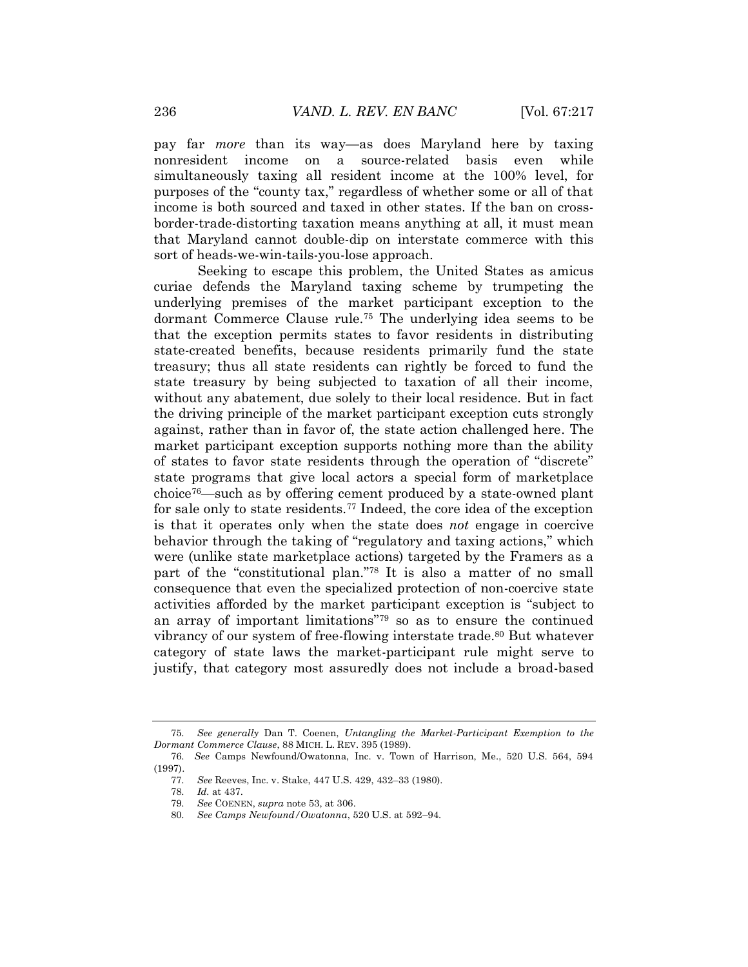pay far *more* than its way—as does Maryland here by taxing nonresident income on a source-related basis even while simultaneously taxing all resident income at the 100% level, for purposes of the "county tax," regardless of whether some or all of that income is both sourced and taxed in other states. If the ban on crossborder-trade-distorting taxation means anything at all, it must mean that Maryland cannot double-dip on interstate commerce with this sort of heads-we-win-tails-you-lose approach.

Seeking to escape this problem, the United States as amicus curiae defends the Maryland taxing scheme by trumpeting the underlying premises of the market participant exception to the dormant Commerce Clause rule.<sup>75</sup> The underlying idea seems to be that the exception permits states to favor residents in distributing state-created benefits, because residents primarily fund the state treasury; thus all state residents can rightly be forced to fund the state treasury by being subjected to taxation of all their income, without any abatement, due solely to their local residence. But in fact the driving principle of the market participant exception cuts strongly against, rather than in favor of, the state action challenged here. The market participant exception supports nothing more than the ability of states to favor state residents through the operation of "discrete" state programs that give local actors a special form of marketplace choice76—such as by offering cement produced by a state-owned plant for sale only to state residents.<sup>77</sup> Indeed, the core idea of the exception is that it operates only when the state does *not* engage in coercive behavior through the taking of "regulatory and taxing actions," which were (unlike state marketplace actions) targeted by the Framers as a part of the "constitutional plan." <sup>78</sup> It is also a matter of no small consequence that even the specialized protection of non-coercive state activities afforded by the market participant exception is "subject to an array of important limitations" <sup>79</sup> so as to ensure the continued vibrancy of our system of free-flowing interstate trade.<sup>80</sup> But whatever category of state laws the market-participant rule might serve to justify, that category most assuredly does not include a broad-based

<sup>75.</sup> *See generally* Dan T. Coenen, *Untangling the Market-Participant Exemption to the Dormant Commerce Clause*, 88 MICH. L. REV. 395 (1989).

<sup>76.</sup> *See* Camps Newfound/Owatonna, Inc. v. Town of Harrison, Me., 520 U.S. 564, 594 (1997).

See Reeves, Inc. v. Stake, 447 U.S. 429, 432–33 (1980). 78. *Id.* at 437.

<sup>79.</sup> *See* COENEN, *supra* note 53, at 306.

<sup>80.</sup> *See Camps Newfound/Owatonna*, 520 U.S. at 592–94.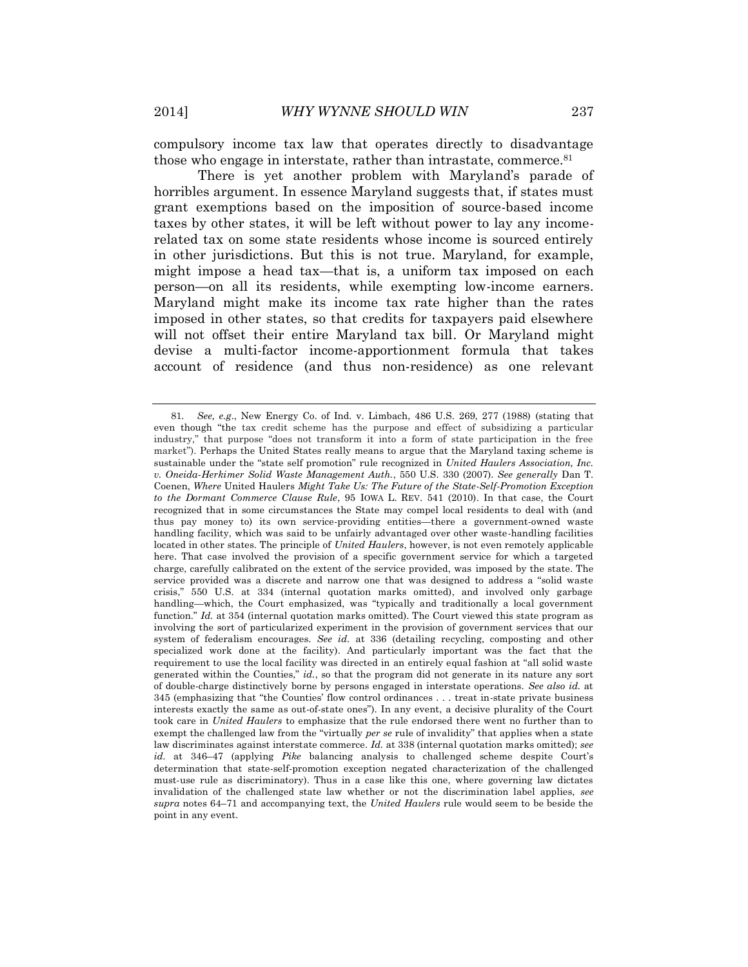compulsory income tax law that operates directly to disadvantage those who engage in interstate, rather than intrastate, commerce.<sup>81</sup>

There is yet another problem with Maryland's parade of horribles argument. In essence Maryland suggests that, if states must grant exemptions based on the imposition of source-based income taxes by other states, it will be left without power to lay any incomerelated tax on some state residents whose income is sourced entirely in other jurisdictions. But this is not true. Maryland, for example, might impose a head tax—that is, a uniform tax imposed on each person—on all its residents, while exempting low-income earners. Maryland might make its income tax rate higher than the rates imposed in other states, so that credits for taxpayers paid elsewhere will not offset their entire Maryland tax bill. Or Maryland might devise a multi-factor income-apportionment formula that takes account of residence (and thus non-residence) as one relevant

<sup>81.</sup> *See, e.g*., New Energy Co. of Ind. v. Limbach, 486 U.S. 269, 277 (1988) (stating that even though "the tax credit scheme has the purpose and effect of subsidizing a particular industry," that purpose "does not transform it into a form of state participation in the free market"). Perhaps the United States really means to argue that the Maryland taxing scheme is sustainable under the "state self promotion" rule recognized in *United Haulers Association, Inc. v. Oneida-Herkimer Solid Waste Management Auth.*, 550 U.S. 330 (2007). *See generally* Dan T. Coenen, *Where* United Haulers *Might Take Us: The Future of the State-Self-Promotion Exception to the Dormant Commerce Clause Rule*, 95 IOWA L. REV. 541 (2010). In that case, the Court recognized that in some circumstances the State may compel local residents to deal with (and thus pay money to) its own service-providing entities—there a government-owned waste handling facility, which was said to be unfairly advantaged over other waste-handling facilities located in other states. The principle of *United Haulers*, however, is not even remotely applicable here. That case involved the provision of a specific government service for which a targeted charge, carefully calibrated on the extent of the service provided, was imposed by the state. The service provided was a discrete and narrow one that was designed to address a "solid waste crisis," 550 U.S. at 334 (internal quotation marks omitted), and involved only garbage handling—which, the Court emphasized, was "typically and traditionally a local government function." *Id.* at 354 (internal quotation marks omitted). The Court viewed this state program as involving the sort of particularized experiment in the provision of government services that our system of federalism encourages*. See id.* at 336 (detailing recycling, composting and other specialized work done at the facility). And particularly important was the fact that the requirement to use the local facility was directed in an entirely equal fashion at "all solid waste generated within the Counties," *id.*, so that the program did not generate in its nature any sort of double-charge distinctively borne by persons engaged in interstate operations. *See also id.* at 345 (emphasizing that "the Counties' flow control ordinances . . . treat in-state private business interests exactly the same as out-of-state ones"). In any event, a decisive plurality of the Court took care in *United Haulers* to emphasize that the rule endorsed there went no further than to exempt the challenged law from the "virtually *per se* rule of invalidity" that applies when a state law discriminates against interstate commerce. *Id.* at 338 (internal quotation marks omitted); *see id.* at 346–47 (applying *Pike* balancing analysis to challenged scheme despite Court's determination that state-self-promotion exception negated characterization of the challenged must-use rule as discriminatory). Thus in a case like this one, where governing law dictates invalidation of the challenged state law whether or not the discrimination label applies, *see supra* notes 64–71 and accompanying text, the *United Haulers* rule would seem to be beside the point in any event.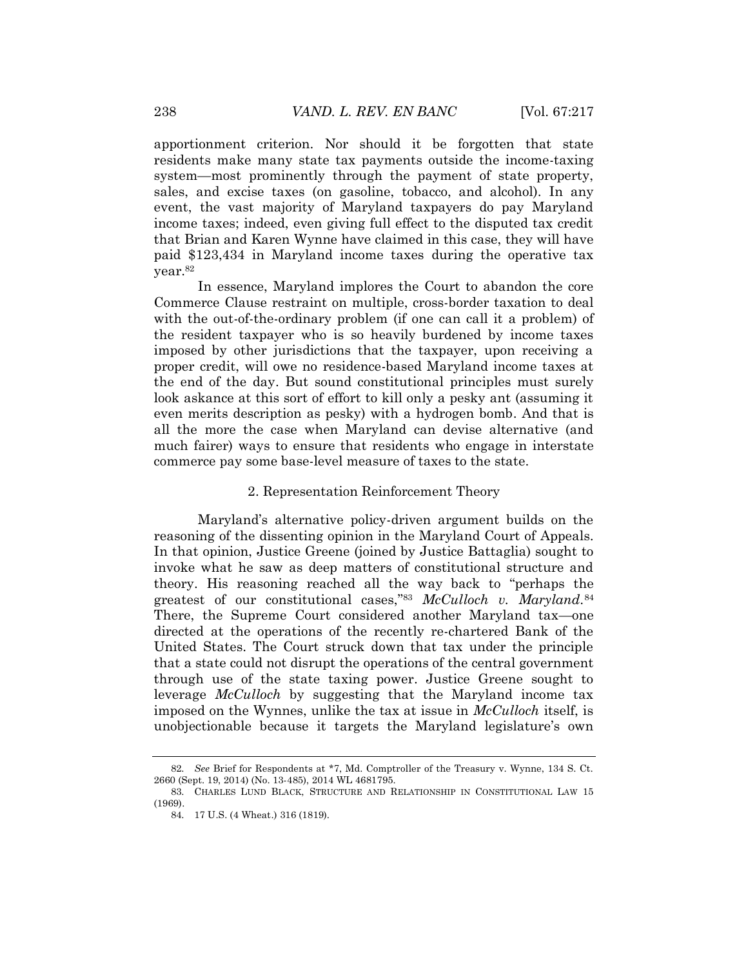apportionment criterion. Nor should it be forgotten that state residents make many state tax payments outside the income-taxing system—most prominently through the payment of state property, sales, and excise taxes (on gasoline, tobacco, and alcohol). In any event, the vast majority of Maryland taxpayers do pay Maryland income taxes; indeed, even giving full effect to the disputed tax credit that Brian and Karen Wynne have claimed in this case, they will have paid \$123,434 in Maryland income taxes during the operative tax year.<sup>82</sup>

In essence, Maryland implores the Court to abandon the core Commerce Clause restraint on multiple, cross-border taxation to deal with the out-of-the-ordinary problem (if one can call it a problem) of the resident taxpayer who is so heavily burdened by income taxes imposed by other jurisdictions that the taxpayer, upon receiving a proper credit, will owe no residence-based Maryland income taxes at the end of the day. But sound constitutional principles must surely look askance at this sort of effort to kill only a pesky ant (assuming it even merits description as pesky) with a hydrogen bomb. And that is all the more the case when Maryland can devise alternative (and much fairer) ways to ensure that residents who engage in interstate commerce pay some base-level measure of taxes to the state.

# 2. Representation Reinforcement Theory

Maryland's alternative policy-driven argument builds on the reasoning of the dissenting opinion in the Maryland Court of Appeals. In that opinion, Justice Greene (joined by Justice Battaglia) sought to invoke what he saw as deep matters of constitutional structure and theory. His reasoning reached all the way back to "perhaps the greatest of our constitutional cases," <sup>83</sup> *McCulloch v. Maryland*. 84 There, the Supreme Court considered another Maryland tax—one directed at the operations of the recently re-chartered Bank of the United States. The Court struck down that tax under the principle that a state could not disrupt the operations of the central government through use of the state taxing power. Justice Greene sought to leverage *McCulloch* by suggesting that the Maryland income tax imposed on the Wynnes, unlike the tax at issue in *McCulloch* itself, is unobjectionable because it targets the Maryland legislature's own

<sup>82.</sup> *See* Brief for Respondents at \*7, Md. Comptroller of the Treasury v. Wynne, 134 S. Ct. 2660 (Sept. 19, 2014) (No. 13-485), 2014 WL 4681795.

<sup>83.</sup> CHARLES LUND BLACK, STRUCTURE AND RELATIONSHIP IN CONSTITUTIONAL LAW 15 (1969).

<sup>84.</sup> 17 U.S. (4 Wheat.) 316 (1819).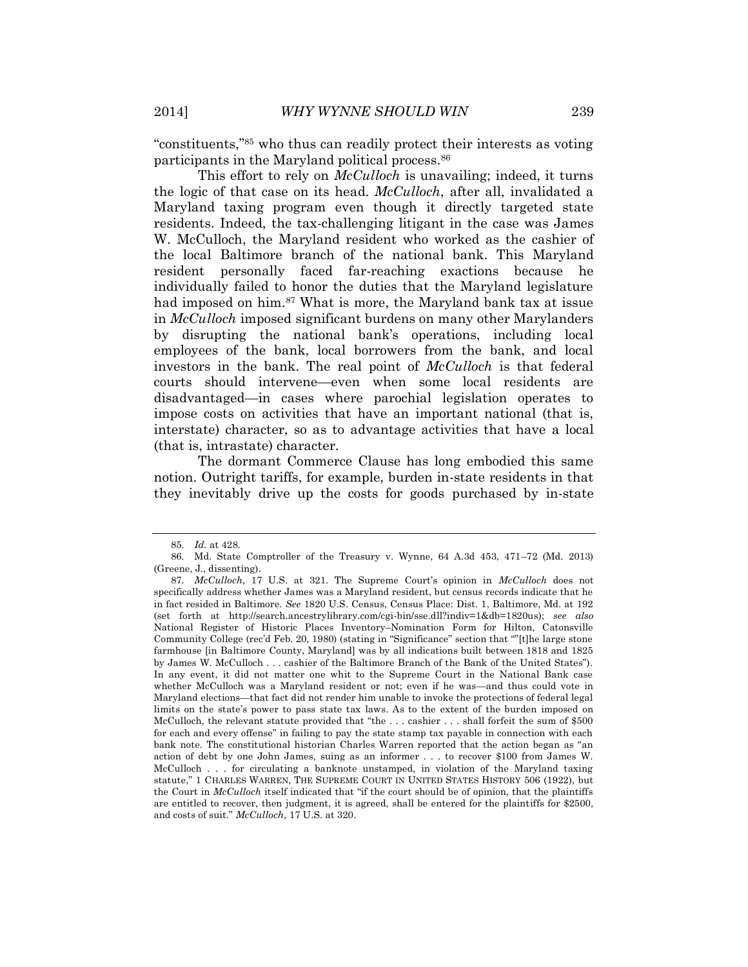"constituents," <sup>85</sup> who thus can readily protect their interests as voting participants in the Maryland political process.<sup>86</sup>

This effort to rely on *McCulloch* is unavailing; indeed, it turns the logic of that case on its head. *McCulloch*, after all, invalidated a Maryland taxing program even though it directly targeted state residents. Indeed, the tax-challenging litigant in the case was James W. McCulloch, the Maryland resident who worked as the cashier of the local Baltimore branch of the national bank. This Maryland resident personally faced far-reaching exactions because he individually failed to honor the duties that the Maryland legislature had imposed on him.<sup>87</sup> What is more, the Maryland bank tax at issue in *McCulloch* imposed significant burdens on many other Marylanders by disrupting the national bank's operations, including local employees of the bank, local borrowers from the bank, and local investors in the bank. The real point of *McCulloch* is that federal courts should intervene—even when some local residents are disadvantaged—in cases where parochial legislation operates to impose costs on activities that have an important national (that is, interstate) character, so as to advantage activities that have a local (that is, intrastate) character.

The dormant Commerce Clause has long embodied this same notion. Outright tariffs, for example, burden in-state residents in that they inevitably drive up the costs for goods purchased by in-state

<sup>85.</sup> *Id.* at 428.

<sup>86.</sup> Md. State Comptroller of the Treasury v. Wynne, 64 A.3d 453, 471–72 (Md. 2013) (Greene, J., dissenting).

<sup>87.</sup> *McCulloch*, 17 U.S. at 321. The Supreme Court's opinion in *McCulloch* does not specifically address whether James was a Maryland resident, but census records indicate that he in fact resided in Baltimore. *See* 1820 U.S. Census, Census Place: Dist. 1, Baltimore, Md. at 192 (set forth at http://search.ancestrylibrary.com/cgi-bin/sse.dll?indiv=1&db=1820us); *see also* National Register of Historic Places Inventory–Nomination Form for Hilton, Catonsville Community College (rec'd Feb. 20, 1980) (stating in "Significance" section that ""[t]he large stone farmhouse [in Baltimore County, Maryland] was by all indications built between 1818 and 1825 by James W. McCulloch . . . cashier of the Baltimore Branch of the Bank of the United States"). In any event, it did not matter one whit to the Supreme Court in the National Bank case whether McCulloch was a Maryland resident or not; even if he was—and thus could vote in Maryland elections—that fact did not render him unable to invoke the protections of federal legal limits on the state's power to pass state tax laws. As to the extent of the burden imposed on McCulloch, the relevant statute provided that "the . . . cashier . . . shall forfeit the sum of \$500 for each and every offense" in failing to pay the state stamp tax payable in connection with each bank note. The constitutional historian Charles Warren reported that the action began as "an action of debt by one John James, suing as an informer . . . to recover \$100 from James W. McCulloch . . . for circulating a banknote unstamped, in violation of the Maryland taxing statute," 1 CHARLES WARREN, THE SUPREME COURT IN UNITED STATES HISTORY 506 (1922), but the Court in *McCulloch* itself indicated that "if the court should be of opinion, that the plaintiffs are entitled to recover, then judgment, it is agreed, shall be entered for the plaintiffs for \$2500, and costs of suit." *McCulloch,* 17 U.S. at 320.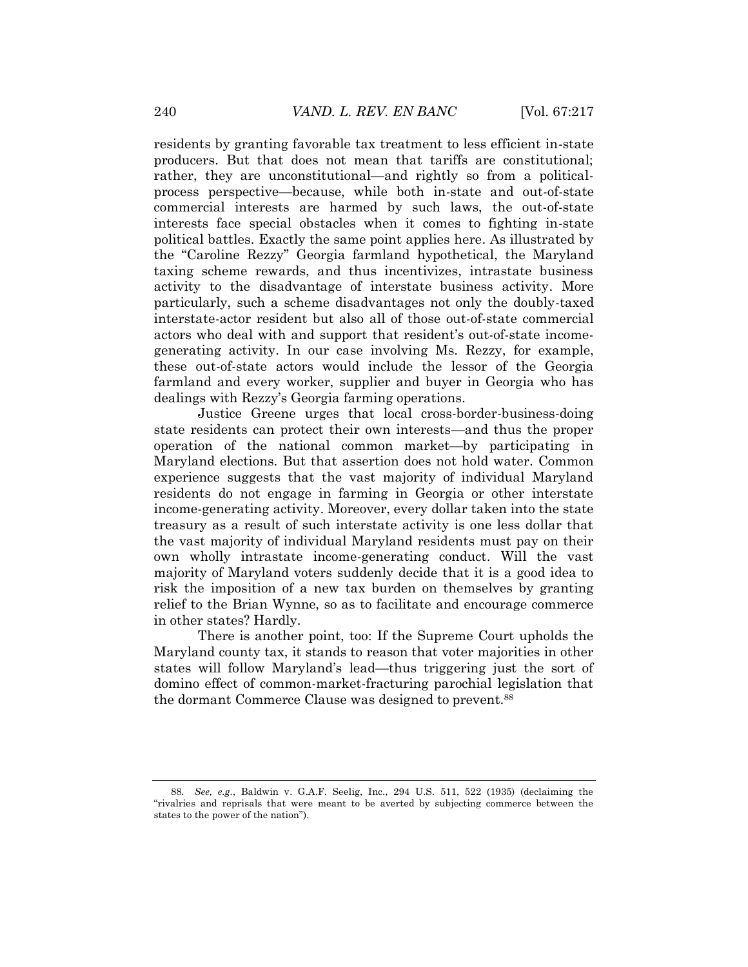residents by granting favorable tax treatment to less efficient in-state producers. But that does not mean that tariffs are constitutional; rather, they are unconstitutional—and rightly so from a politicalprocess perspective—because, while both in-state and out-of-state commercial interests are harmed by such laws, the out-of-state interests face special obstacles when it comes to fighting in-state political battles. Exactly the same point applies here. As illustrated by the "Caroline Rezzy" Georgia farmland hypothetical, the Maryland taxing scheme rewards, and thus incentivizes, intrastate business activity to the disadvantage of interstate business activity. More particularly, such a scheme disadvantages not only the doubly-taxed interstate-actor resident but also all of those out-of-state commercial actors who deal with and support that resident's out-of-state incomegenerating activity. In our case involving Ms. Rezzy, for example, these out-of-state actors would include the lessor of the Georgia farmland and every worker, supplier and buyer in Georgia who has dealings with Rezzy's Georgia farming operations.

Justice Greene urges that local cross-border-business-doing state residents can protect their own interests—and thus the proper operation of the national common market—by participating in Maryland elections. But that assertion does not hold water. Common experience suggests that the vast majority of individual Maryland residents do not engage in farming in Georgia or other interstate income-generating activity. Moreover, every dollar taken into the state treasury as a result of such interstate activity is one less dollar that the vast majority of individual Maryland residents must pay on their own wholly intrastate income-generating conduct. Will the vast majority of Maryland voters suddenly decide that it is a good idea to risk the imposition of a new tax burden on themselves by granting relief to the Brian Wynne, so as to facilitate and encourage commerce in other states? Hardly.

There is another point, too: If the Supreme Court upholds the Maryland county tax, it stands to reason that voter majorities in other states will follow Maryland's lead—thus triggering just the sort of domino effect of common-market-fracturing parochial legislation that the dormant Commerce Clause was designed to prevent.<sup>88</sup>

<sup>88.</sup> *See, e.g.*, Baldwin v. G.A.F. Seelig, Inc., 294 U.S. 511, 522 (1935) (declaiming the "rivalries and reprisals that were meant to be averted by subjecting commerce between the states to the power of the nation").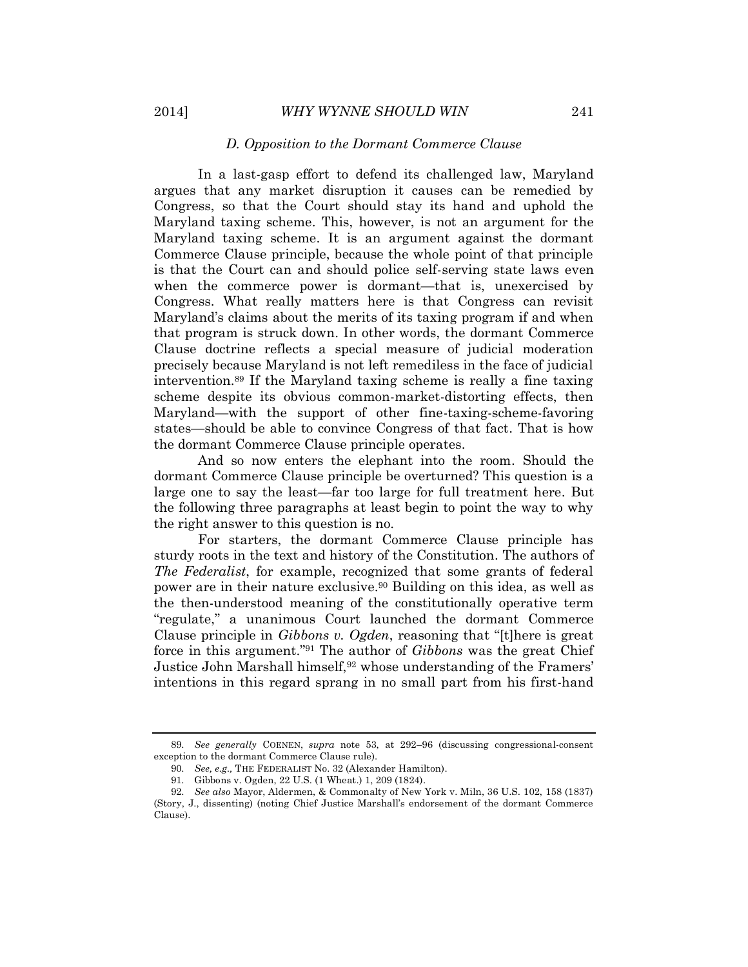# *D. Opposition to the Dormant Commerce Clause*

In a last-gasp effort to defend its challenged law, Maryland argues that any market disruption it causes can be remedied by Congress, so that the Court should stay its hand and uphold the Maryland taxing scheme. This, however, is not an argument for the Maryland taxing scheme. It is an argument against the dormant Commerce Clause principle, because the whole point of that principle is that the Court can and should police self-serving state laws even when the commerce power is dormant—that is, unexercised by Congress. What really matters here is that Congress can revisit Maryland's claims about the merits of its taxing program if and when that program is struck down. In other words, the dormant Commerce Clause doctrine reflects a special measure of judicial moderation precisely because Maryland is not left remediless in the face of judicial intervention.<sup>89</sup> If the Maryland taxing scheme is really a fine taxing scheme despite its obvious common-market-distorting effects, then Maryland—with the support of other fine-taxing-scheme-favoring states—should be able to convince Congress of that fact. That is how the dormant Commerce Clause principle operates.

And so now enters the elephant into the room. Should the dormant Commerce Clause principle be overturned? This question is a large one to say the least—far too large for full treatment here. But the following three paragraphs at least begin to point the way to why the right answer to this question is no.

For starters, the dormant Commerce Clause principle has sturdy roots in the text and history of the Constitution. The authors of *The Federalist*, for example, recognized that some grants of federal power are in their nature exclusive.<sup>90</sup> Building on this idea, as well as the then-understood meaning of the constitutionally operative term "regulate," a unanimous Court launched the dormant Commerce Clause principle in *Gibbons v. Ogden*, reasoning that "[t]here is great force in this argument." <sup>91</sup> The author of *Gibbons* was the great Chief Justice John Marshall himself,<sup>92</sup> whose understanding of the Framers' intentions in this regard sprang in no small part from his first-hand

<sup>89.</sup> *See generally* COENEN, *supra* note 53, at 292–96 (discussing congressional-consent exception to the dormant Commerce Clause rule).

<sup>90.</sup> *See, e.g.,* THE FEDERALIST No. 32 (Alexander Hamilton).

<sup>91.</sup> Gibbons v. Ogden, 22 U.S. (1 Wheat.) 1, 209 (1824).

<sup>92.</sup> *See also* Mayor, Aldermen, & Commonalty of New York v. Miln, 36 U.S. 102, 158 (1837) (Story, J., dissenting) (noting Chief Justice Marshall's endorsement of the dormant Commerce Clause).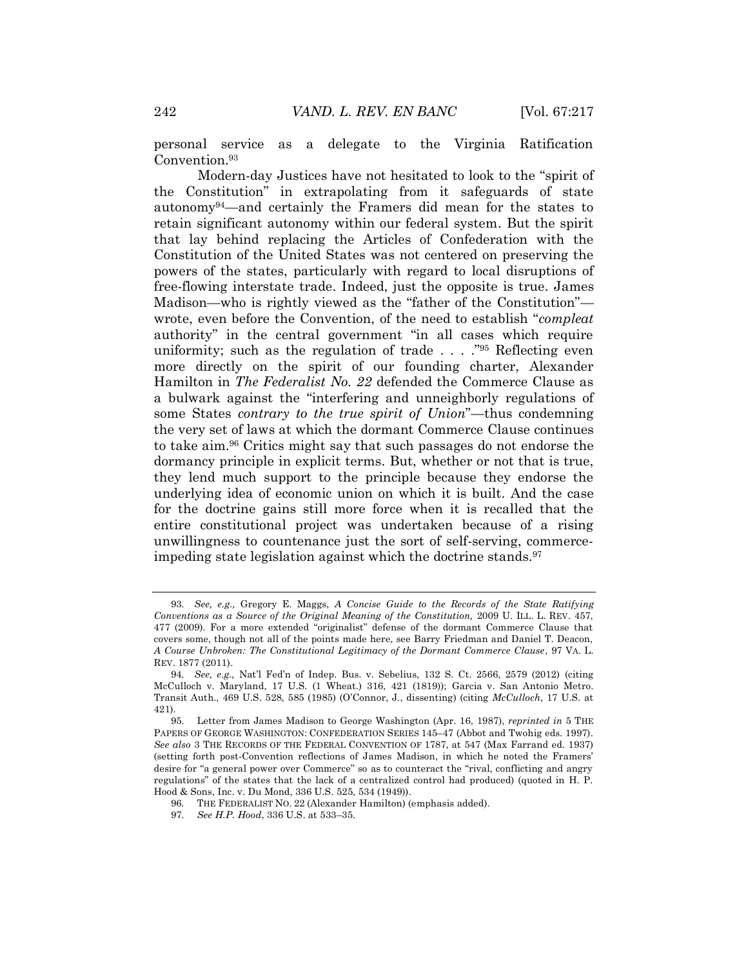personal service as a delegate to the Virginia Ratification Convention.93

Modern-day Justices have not hesitated to look to the "spirit of the Constitution" in extrapolating from it safeguards of state autonomy94—and certainly the Framers did mean for the states to retain significant autonomy within our federal system. But the spirit that lay behind replacing the Articles of Confederation with the Constitution of the United States was not centered on preserving the powers of the states, particularly with regard to local disruptions of free-flowing interstate trade. Indeed, just the opposite is true. James Madison—who is rightly viewed as the "father of the Constitution" wrote, even before the Convention, of the need to establish "*compleat* authority" in the central government "in all cases which require uniformity; such as the regulation of trade . . . ."<sup>95</sup> Reflecting even more directly on the spirit of our founding charter, Alexander Hamilton in *The Federalist No. 22* defended the Commerce Clause as a bulwark against the "interfering and unneighborly regulations of some States *contrary to the true spirit of Union*"—thus condemning the very set of laws at which the dormant Commerce Clause continues to take aim.<sup>96</sup> Critics might say that such passages do not endorse the dormancy principle in explicit terms. But, whether or not that is true, they lend much support to the principle because they endorse the underlying idea of economic union on which it is built. And the case for the doctrine gains still more force when it is recalled that the entire constitutional project was undertaken because of a rising unwillingness to countenance just the sort of self-serving, commerceimpeding state legislation against which the doctrine stands.<sup>97</sup>

<sup>93.</sup> *See, e.g.,* Gregory E. Maggs, *A Concise Guide to the Records of the State Ratifying Conventions as a Source of the Original Meaning of the Constitution,* 2009 U. ILL. L. REV. 457, 477 (2009). For a more extended "originalist" defense of the dormant Commerce Clause that covers some, though not all of the points made here, see Barry Friedman and Daniel T. Deacon, *A Course Unbroken: The Constitutional Legitimacy of the Dormant Commerce Clause*, 97 VA. L. REV. 1877 (2011).

<sup>94.</sup> *See, e.g.,* Nat'l Fed'n of Indep. Bus. v. Sebelius, 132 S. Ct. 2566, 2579 (2012) (citing McCulloch v. Maryland, 17 U.S. (1 Wheat.) 316, 421 (1819)); Garcia v. San Antonio Metro. Transit Auth., 469 U.S. 528, 585 (1985) (O'Connor, J., dissenting) (citing *McCulloch*, 17 U.S. at 421).

<sup>95.</sup> Letter from James Madison to George Washington (Apr. 16, 1987), *reprinted in* 5 THE PAPERS OF GEORGE WASHINGTON: CONFEDERATION SERIES 145–47 (Abbot and Twohig eds. 1997). *See also* 3 THE RECORDS OF THE FEDERAL CONVENTION OF 1787, at 547 (Max Farrand ed. 1937) (setting forth post-Convention reflections of James Madison, in which he noted the Framers' desire for "a general power over Commerce" so as to counteract the "rival, conflicting and angry regulations" of the states that the lack of a centralized control had produced) (quoted in H. P. Hood & Sons, Inc. v. Du Mond, 336 U.S. 525, 534 (1949)).

<sup>96.</sup> THE FEDERALIST NO. 22 (Alexander Hamilton) (emphasis added).

<sup>97.</sup> *See H.P. Hood*, 336 U.S. at 533–35.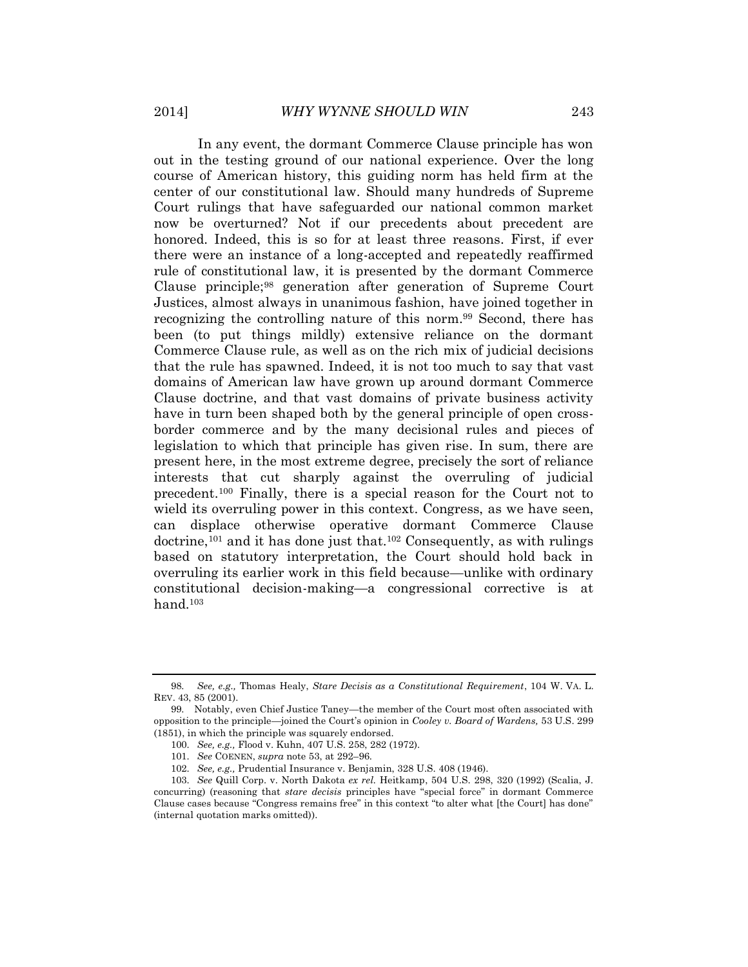In any event, the dormant Commerce Clause principle has won out in the testing ground of our national experience. Over the long course of American history, this guiding norm has held firm at the center of our constitutional law. Should many hundreds of Supreme Court rulings that have safeguarded our national common market now be overturned? Not if our precedents about precedent are honored. Indeed, this is so for at least three reasons. First, if ever there were an instance of a long-accepted and repeatedly reaffirmed rule of constitutional law, it is presented by the dormant Commerce Clause principle;<sup>98</sup> generation after generation of Supreme Court Justices, almost always in unanimous fashion, have joined together in recognizing the controlling nature of this norm.<sup>99</sup> Second, there has been (to put things mildly) extensive reliance on the dormant Commerce Clause rule, as well as on the rich mix of judicial decisions that the rule has spawned. Indeed, it is not too much to say that vast domains of American law have grown up around dormant Commerce Clause doctrine, and that vast domains of private business activity have in turn been shaped both by the general principle of open crossborder commerce and by the many decisional rules and pieces of legislation to which that principle has given rise. In sum, there are present here, in the most extreme degree, precisely the sort of reliance interests that cut sharply against the overruling of judicial precedent.<sup>100</sup> Finally, there is a special reason for the Court not to wield its overruling power in this context. Congress, as we have seen, can displace otherwise operative dormant Commerce Clause doctrine, <sup>101</sup> and it has done just that.<sup>102</sup> Consequently, as with rulings based on statutory interpretation, the Court should hold back in overruling its earlier work in this field because—unlike with ordinary constitutional decision-making—a congressional corrective is at hand.<sup>103</sup>

<sup>98.</sup> *See, e.g.,* Thomas Healy, *Stare Decisis as a Constitutional Requirement*, 104 W. VA. L. REV. 43, 85 (2001).

<sup>99.</sup> Notably, even Chief Justice Taney—the member of the Court most often associated with opposition to the principle—joined the Court's opinion in *Cooley v. Board of Wardens,* 53 U.S. 299 (1851), in which the principle was squarely endorsed.

<sup>100.</sup> *See, e.g.,* Flood v. Kuhn, 407 U.S. 258, 282 (1972).

<sup>101.</sup> *See* COENEN, *supra* note 53, at 292–96.

<sup>102.</sup> *See, e.g.,* Prudential Insurance v. Benjamin, 328 U.S. 408 (1946).

<sup>103.</sup> *See* Quill Corp. v. North Dakota *ex rel.* Heitkamp, 504 U.S. 298, 320 (1992) (Scalia, J. concurring) (reasoning that *stare decisis* principles have "special force" in dormant Commerce Clause cases because "Congress remains free" in this context "to alter what [the Court] has done" (internal quotation marks omitted)).